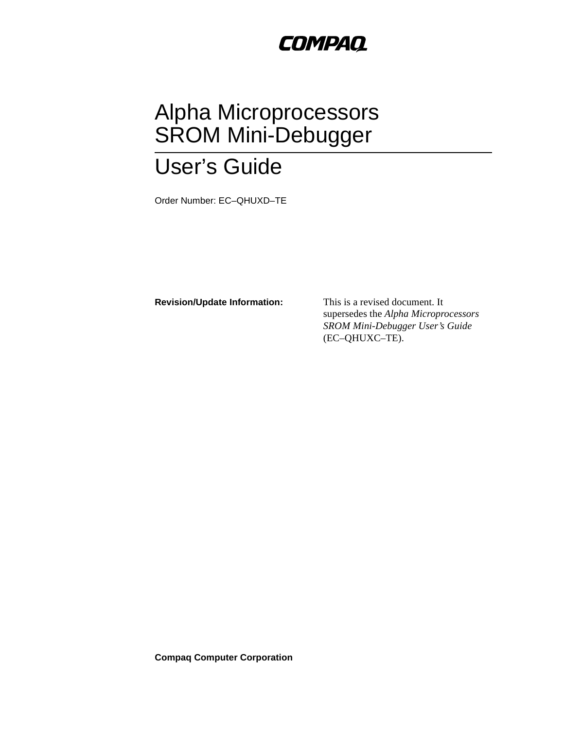## **COMPAQ**

# Alpha Microprocessors SROM Mini-Debugger

# User's Guide

Order Number: EC–QHUXD–TE

**Revision/Update Information:** This is a revised document. It

supersedes the *Alpha Microprocessors SROM Mini-Debugger User's Guide* (EC–QHUXC–TE).

**Compaq Computer Corporation**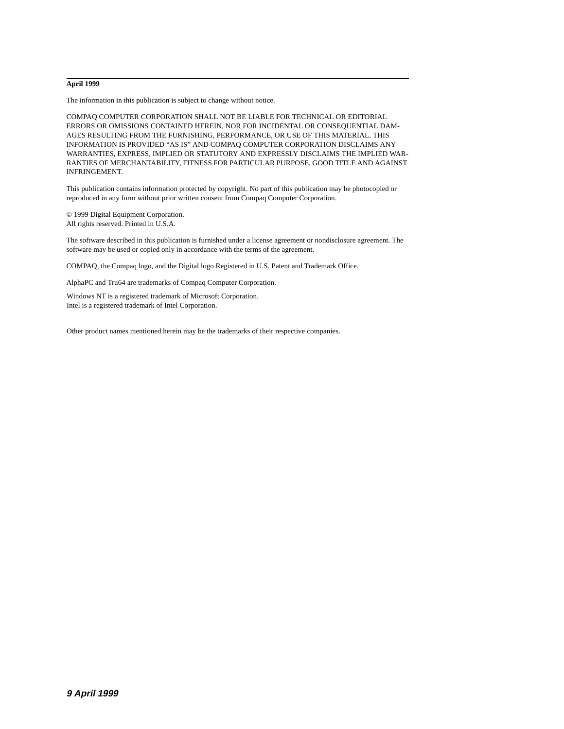#### **April 1999**

The information in this publication is subject to change without notice.

COMPAQ COMPUTER CORPORATION SHALL NOT BE LIABLE FOR TECHNICAL OR EDITORIAL ERRORS OR OMISSIONS CONTAINED HEREIN, NOR FOR INCIDENTAL OR CONSEQUENTIAL DAM-AGES RESULTING FROM THE FURNISHING, PERFORMANCE, OR USE OF THIS MATERIAL. THIS INFORMATION IS PROVIDED "AS IS" AND COMPAQ COMPUTER CORPORATION DISCLAIMS ANY WARRANTIES, EXPRESS, IMPLIED OR STATUTORY AND EXPRESSLY DISCLAIMS THE IMPLIED WAR-RANTIES OF MERCHANTABILITY, FITNESS FOR PARTICULAR PURPOSE, GOOD TITLE AND AGAINST INFRINGEMENT.

This publication contains information protected by copyright. No part of this publication may be photocopied or reproduced in any form without prior written consent from Compaq Computer Corporation.

© 1999 Digital Equipment Corporation. All rights reserved. Printed in U.S.A.

The software described in this publication is furnished under a license agreement or nondisclosure agreement. The software may be used or copied only in accordance with the terms of the agreement.

COMPAQ, the Compaq logo, and the Digital logo Registered in U.S. Patent and Trademark Office.

AlphaPC and Tru64 are trademarks of Compaq Computer Corporation.

Windows NT is a registered trademark of Microsoft Corporation. Intel is a registered trademark of Intel Corporation.

Other product names mentioned herein may be the trademarks of their respective companies.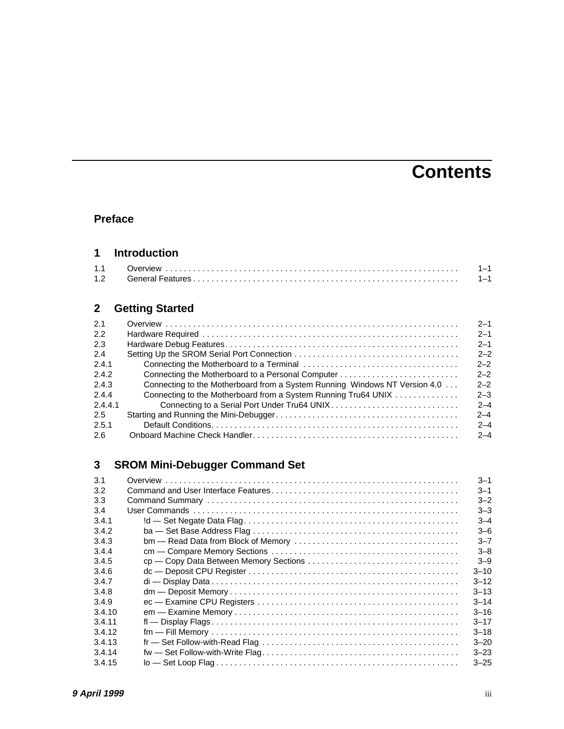## **Contents**

#### **[Preface](#page-6-0)**

#### **[1 Introduction](#page-8-0)**

| 1.1              |  |
|------------------|--|
| 1.2 <sub>1</sub> |  |

## **[2 Getting Started](#page-10-0)**

| 2.1           |                                                                            | $2 - 1$ |
|---------------|----------------------------------------------------------------------------|---------|
| 2.2           |                                                                            | $2 - 1$ |
| 2.3           |                                                                            | $2 - 1$ |
| 2.4           |                                                                            | $2 - 2$ |
| 2.4.1         |                                                                            | $2 - 2$ |
| 2.4.2         | Connecting the Motherboard to a Personal Computer                          | $2 - 2$ |
| 2.4.3         | Connecting to the Motherboard from a System Running Windows NT Version 4.0 | $2 - 2$ |
| 2.4.4         | Connecting to the Motherboard from a System Running Tru64 UNIX             | $2 - 3$ |
| 2.4.4.1       | Connecting to a Serial Port Under Tru64 UNIX                               | $2 - 4$ |
| $2.5^{\circ}$ |                                                                            | $2 - 4$ |
| 2.5.1         |                                                                            | $2 - 4$ |
| 2.6           |                                                                            | $2 - 4$ |

## **[3 SROM Mini-Debugger Command Set](#page-16-0)**

| 3.1    | $3 - 1$  |
|--------|----------|
| 3.2    | $3 - 1$  |
| 3.3    | $3 - 2$  |
| 3.4    | $3 - 3$  |
| 3.4.1  | $3 - 4$  |
| 3.4.2  | $3 - 6$  |
| 3.4.3  | $3 - 7$  |
| 3.4.4  | $3 - 8$  |
| 3.4.5  | $3 - 9$  |
| 3.4.6  | $3 - 10$ |
| 3.4.7  | $3 - 12$ |
| 3.4.8  | $3 - 13$ |
| 3.4.9  | $3 - 14$ |
| 3.4.10 | $3 - 16$ |
| 3.4.11 | $3 - 17$ |
| 3.4.12 | $3 - 18$ |
| 3.4.13 | $3 - 20$ |
| 3.4.14 | $3 - 23$ |
| 3.4.15 | $3 - 25$ |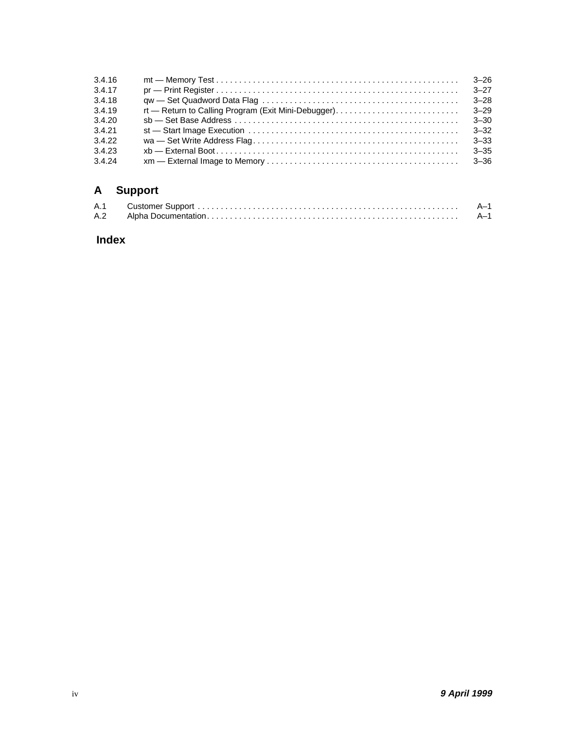| 3.4.16                     |                                                     | $3 - 26$         |
|----------------------------|-----------------------------------------------------|------------------|
| 3.4.17                     |                                                     | $3 - 27$         |
| 3.4.18                     |                                                     | $3 - 28$         |
| 3.4.19                     | rt — Return to Calling Program (Exit Mini-Debugger) | $3 - 29$         |
| 3.4.20                     |                                                     | $3 - 30$         |
| 3.4.21                     |                                                     | $3 - 32$         |
| 3.4.22<br>3.4.23<br>3.4.24 |                                                     | 3–33<br>$3 - 35$ |

## **[A Support](#page-54-0)**

## **[Index](#page-56-0)**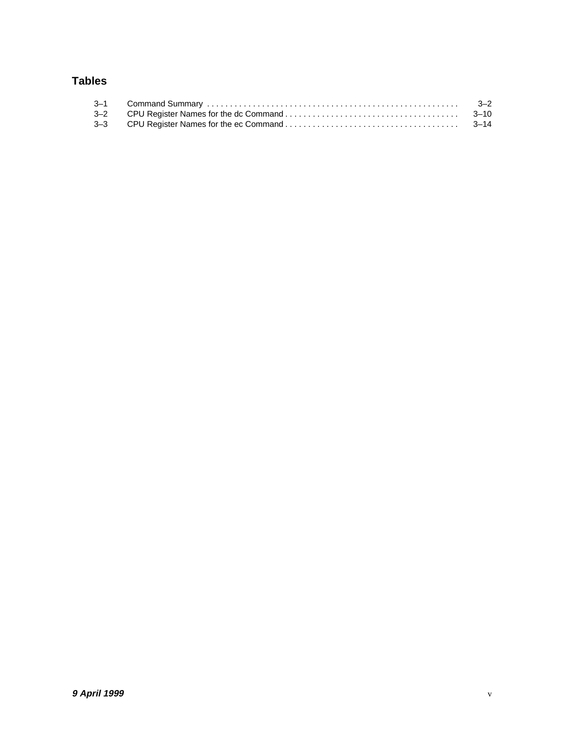### **Tables**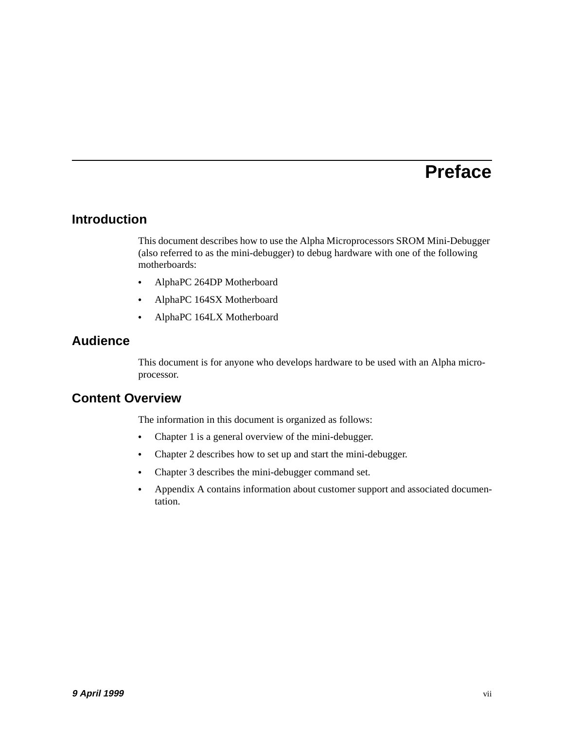## **Preface**

### <span id="page-6-0"></span>**Introduction**

This document describes how to use the Alpha Microprocessors SROM Mini-Debugger (also referred to as the mini-debugger) to debug hardware with one of the following motherboards:

- **•** AlphaPC 264DP Motherboard
- **•** AlphaPC 164SX Motherboard
- **•** AlphaPC 164LX Motherboard

#### **Audience**

This document is for anyone who develops hardware to be used with an Alpha microprocessor.

#### **Content Overview**

The information in this document is organized as follows:

- **•** [Chapter 1](#page-8-0) is a general overview of the mini-debugger.
- **•** [Chapter 2](#page-10-0) describes how to set up and start the mini-debugger.
- **•** [Chapter 3](#page-16-0) describes the mini-debugger command set.
- **•** [Appendix A](#page-54-0) contains information about customer support and associated documentation.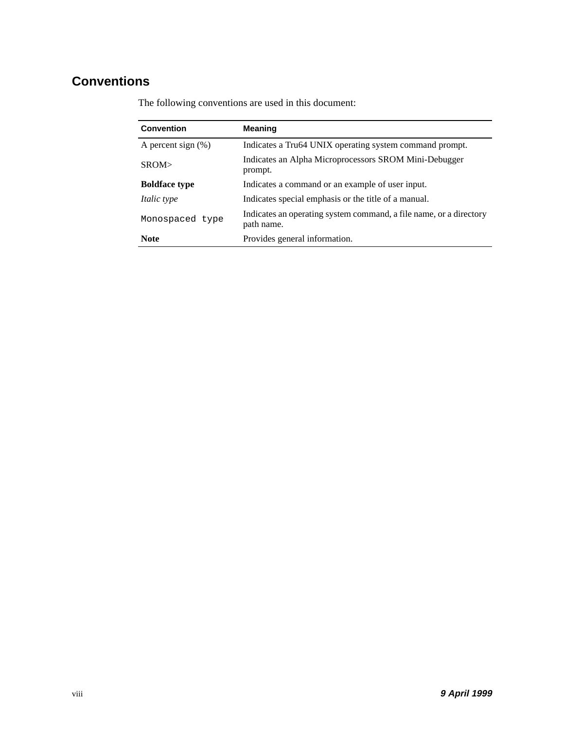## <span id="page-7-0"></span>**Conventions**

| <b>Convention</b>     | <b>Meaning</b>                                                                   |
|-----------------------|----------------------------------------------------------------------------------|
| A percent sign $(\%)$ | Indicates a Tru64 UNIX operating system command prompt.                          |
| SROM                  | Indicates an Alpha Microprocessors SROM Mini-Debugger<br>prompt.                 |
| <b>Boldface type</b>  | Indicates a command or an example of user input.                                 |
| <i>Italic type</i>    | Indicates special emphasis or the title of a manual.                             |
| Monospaced type       | Indicates an operating system command, a file name, or a directory<br>path name. |
| <b>Note</b>           | Provides general information.                                                    |

The following conventions are used in this document: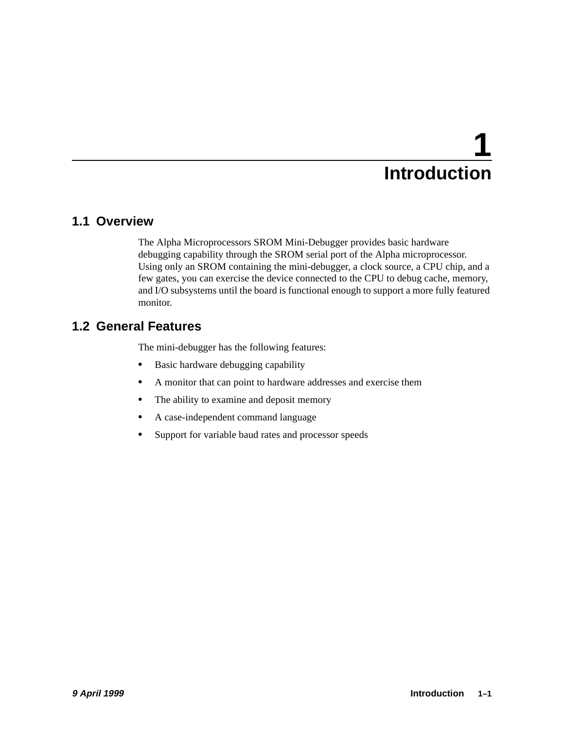# **1 Introduction**

## <span id="page-8-0"></span>**1.1 Overview**

The Alpha Microprocessors SROM Mini-Debugger provides basic hardware debugging capability through the SROM serial port of the Alpha microprocessor. Using only an SROM containing the mini-debugger, a clock source, a CPU chip, and a few gates, you can exercise the device connected to the CPU to debug cache, memory, and I/O subsystems until the board is functional enough to support a more fully featured monitor.

## **1.2 General Features**

The mini-debugger has the following features:

- **•** Basic hardware debugging capability
- **•** A monitor that can point to hardware addresses and exercise them
- The ability to examine and deposit memory
- **•** A case-independent command language
- **•** Support for variable baud rates and processor speeds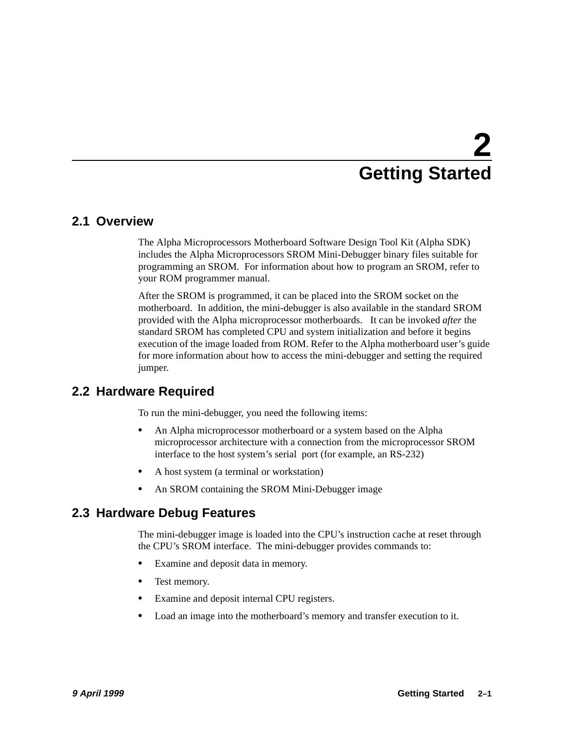# **2 Getting Started**

#### <span id="page-10-0"></span>**2.1 Overview**

The Alpha Microprocessors Motherboard Software Design Tool Kit (Alpha SDK) includes the Alpha Microprocessors SROM Mini-Debugger binary files suitable for programming an SROM. For information about how to program an SROM, refer to your ROM programmer manual.

After the SROM is programmed, it can be placed into the SROM socket on the motherboard. In addition, the mini-debugger is also available in the standard SROM provided with the Alpha microprocessor motherboards. It can be invoked *after* the standard SROM has completed CPU and system initialization and before it begins execution of the image loaded from ROM. Refer to the Alpha motherboard user's guide for more information about how to access the mini-debugger and setting the required jumper.

### **2.2 Hardware Required**

To run the mini-debugger, you need the following items:

- **•** An Alpha microprocessor motherboard or a system based on the Alpha microprocessor architecture with a connection from the microprocessor SROM interface to the host system's serial port (for example, an RS-232)
- **•** A host system (a terminal or workstation)
- **•** An SROM containing the SROM Mini-Debugger image

## **2.3 Hardware Debug Features**

The mini-debugger image is loaded into the CPU's instruction cache at reset through the CPU's SROM interface. The mini-debugger provides commands to:

- **•** Examine and deposit data in memory.
- **•** Test memory.
- **•** Examine and deposit internal CPU registers.
- **•** Load an image into the motherboard's memory and transfer execution to it.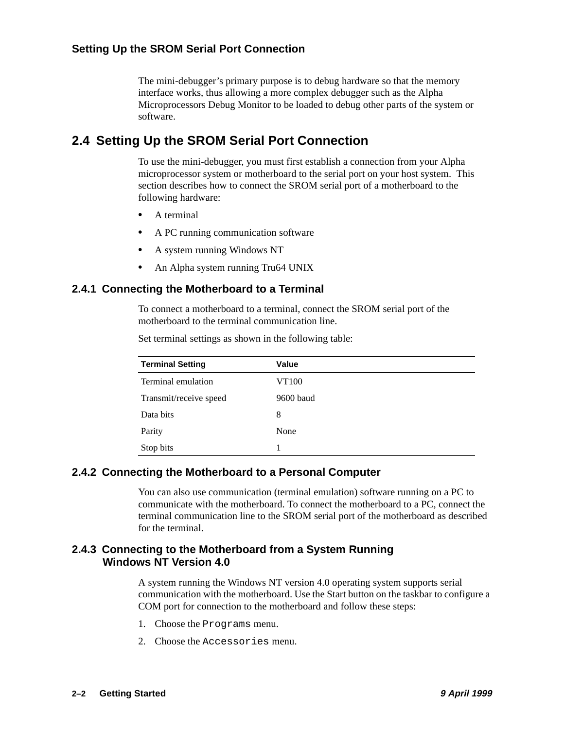The mini-debugger's primary purpose is to debug hardware so that the memory interface works, thus allowing a more complex debugger such as the Alpha Microprocessors Debug Monitor to be loaded to debug other parts of the system or software.

## <span id="page-11-0"></span>**2.4 Setting Up the SROM Serial Port Connection**

To use the mini-debugger, you must first establish a connection from your Alpha microprocessor system or motherboard to the serial port on your host system. This section describes how to connect the SROM serial port of a motherboard to the following hardware:

- **•** A terminal
- **•** A PC running communication software
- **•** A system running Windows NT
- An Alpha system running Tru64 UNIX

#### **2.4.1 Connecting the Motherboard to a Terminal**

To connect a motherboard to a terminal, connect the SROM serial port of the motherboard to the terminal communication line.

| <b>Terminal Setting</b> | Value     |
|-------------------------|-----------|
| Terminal emulation      | VT100     |
| Transmit/receive speed  | 9600 baud |
| Data bits               | 8         |
| Parity                  | None      |
| Stop bits               |           |

Set terminal settings as shown in the following table:

#### **2.4.2 Connecting the Motherboard to a Personal Computer**

You can also use communication (terminal emulation) software running on a PC to communicate with the motherboard. To connect the motherboard to a PC, connect the terminal communication line to the SROM serial port of the motherboard as described for the terminal.

#### **2.4.3 Connecting to the Motherboard from a System Running Windows NT Version 4.0**

A system running the Windows NT version 4.0 operating system supports serial communication with the motherboard. Use the Start button on the taskbar to configure a COM port for connection to the motherboard and follow these steps:

- 1. Choose the Programs menu.
- 2. Choose the Accessories menu.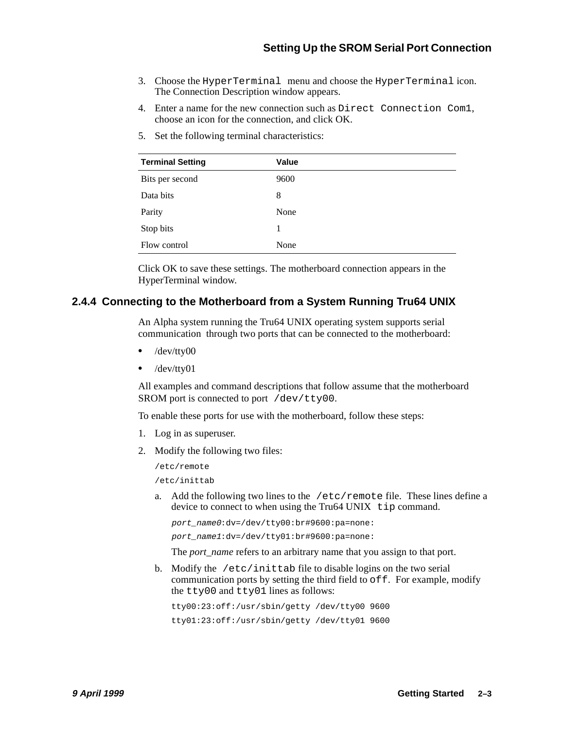- <span id="page-12-0"></span>3. Choose the HyperTerminal menu and choose the HyperTerminal icon. The Connection Description window appears.
- 4. Enter a name for the new connection such as Direct Connection Com1, choose an icon for the connection, and click OK.

| <b>Terminal Setting</b> | Value |
|-------------------------|-------|
| Bits per second         | 9600  |
| Data bits               | 8     |
| Parity                  | None  |
| Stop bits               | 1     |
| Flow control            | None  |

5. Set the following terminal characteristics:

Click OK to save these settings. The motherboard connection appears in the HyperTerminal window.

#### **2.4.4 Connecting to the Motherboard from a System Running Tru64 UNIX**

An Alpha system running the Tru64 UNIX operating system supports serial communication through two ports that can be connected to the motherboard:

- **•** /dev/tty00
- **•** /dev/tty01

All examples and command descriptions that follow assume that the motherboard SROM port is connected to port /dev/tty00.

To enable these ports for use with the motherboard, follow these steps:

- 1. Log in as superuser.
- 2. Modify the following two files:

/etc/remote

/etc/inittab

a. Add the following two lines to the  $/etc/remote$  file. These lines define a device to connect to when using the Tru64 UNIX tip command.

port\_name0:dv=/dev/tty00:br#9600:pa=none:

port\_name1:dv=/dev/tty01:br#9600:pa=none:

The *port* name refers to an arbitrary name that you assign to that port.

b. Modify the /etc/inittab file to disable logins on the two serial communication ports by setting the third field to  $\circ$  ff. For example, modify the tty00 and tty01 lines as follows:

tty00:23:off:/usr/sbin/getty /dev/tty00 9600 tty01:23:off:/usr/sbin/getty /dev/tty01 9600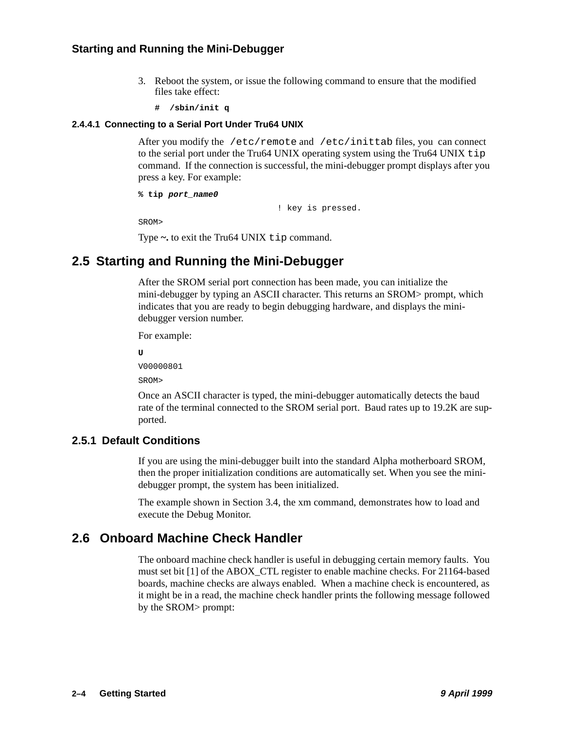#### <span id="page-13-0"></span>**Starting and Running the Mini-Debugger**

- 3. Reboot the system, or issue the following command to ensure that the modified files take effect:
	- **# /sbin/init q**

#### **2.4.4.1 Connecting to a Serial Port Under Tru64 UNIX**

After you modify the /etc/remote and /etc/inittab files, you can connect to the serial port under the Tru64 UNIX operating system using the Tru64 UNIX  $\text{tip}$ command. If the connection is successful, the mini-debugger prompt displays after you press a key. For example:

```
% tip port_name0
```
! key is pressed.

SROM>

Type  $\sim$  to exit the Tru64 UNIX tip command.

## **2.5 Starting and Running the Mini-Debugger**

After the SROM serial port connection has been made, you can initialize the mini-debugger by typing an ASCII character. This returns an SROM> prompt, which indicates that you are ready to begin debugging hardware, and displays the minidebugger version number.

For example:

**U**

V00000801

SROM>

Once an ASCII character is typed, the mini-debugger automatically detects the baud rate of the terminal connected to the SROM serial port. Baud rates up to 19.2K are supported.

#### **2.5.1 Default Conditions**

If you are using the mini-debugger built into the standard Alpha motherboard SROM, then the proper initialization conditions are automatically set. When you see the minidebugger prompt, the system has been initialized.

The example shown in [Section 3.4](#page-18-0), the xm command, demonstrates how to load and execute the Debug Monitor.

### **2.6 Onboard Machine Check Handler**

The onboard machine check handler is useful in debugging certain memory faults. You must set bit [1] of the ABOX\_CTL register to enable machine checks. For 21164-based boards, machine checks are always enabled. When a machine check is encountered, as it might be in a read, the machine check handler prints the following message followed by the SROM> prompt: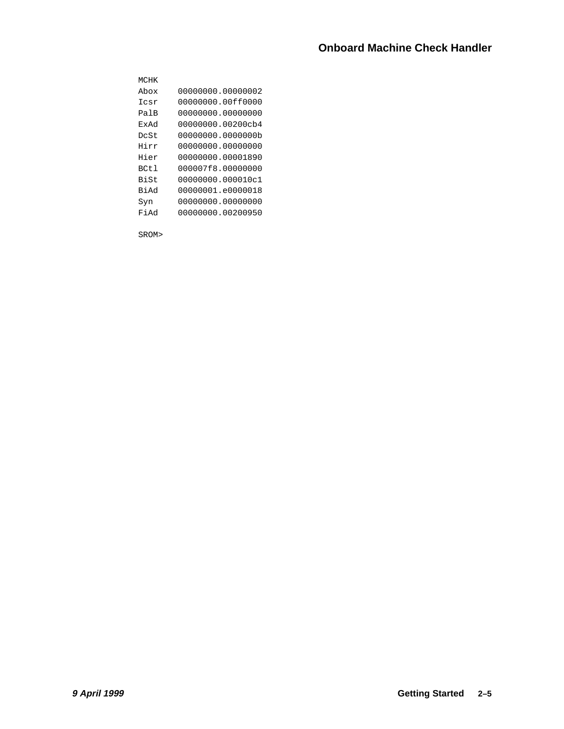| MCHK   |                    |
|--------|--------------------|
| Abox   | 00000000.00000002  |
| Tcsr   | 00000000.00ff0000  |
| PalB   | 000000000 00000000 |
| ExAd   | 00000000.00200cb4  |
| DcSt   | 00000000.00000000  |
| Hirr   | 00000000.00000000  |
| Hier   | 00000000.00001890  |
| BCt.1  | 000007f8.00000000  |
| Bi St  | 00000000.000010c1  |
| há i R | 00000001.e0000018  |
| Syn    | 00000000.00000000  |
| Pi Ad  | 00000000.00200950  |
|        |                    |

SROM>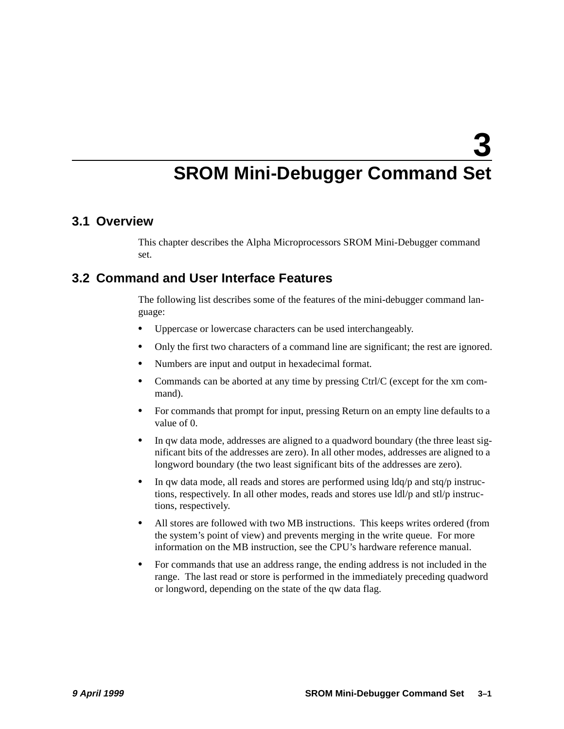## **SROM Mini-Debugger Command Set**

#### <span id="page-16-0"></span>**3.1 Overview**

This chapter describes the Alpha Microprocessors SROM Mini-Debugger command set.

## **3.2 Command and User Interface Features**

The following list describes some of the features of the mini-debugger command language:

- **•** Uppercase or lowercase characters can be used interchangeably.
- Only the first two characters of a command line are significant; the rest are ignored.
- **•** Numbers are input and output in hexadecimal format.
- **•** Commands can be aborted at any time by pressing Ctrl/C (except for the xm command).
- For commands that prompt for input, pressing Return on an empty line defaults to a value of 0.
- **•** In qw data mode, addresses are aligned to a quadword boundary (the three least significant bits of the addresses are zero). In all other modes, addresses are aligned to a longword boundary (the two least significant bits of the addresses are zero).
- **•** In qw data mode, all reads and stores are performed using ldq/p and stq/p instructions, respectively. In all other modes, reads and stores use  $\frac{Id}{p}$  and  $\frac{st}{p}$  instructions, respectively.
- **•** All stores are followed with two MB instructions. This keeps writes ordered (from the system's point of view) and prevents merging in the write queue. For more information on the MB instruction, see the CPU's hardware reference manual.
- For commands that use an address range, the ending address is not included in the range. The last read or store is performed in the immediately preceding quadword or longword, depending on the state of the qw data flag.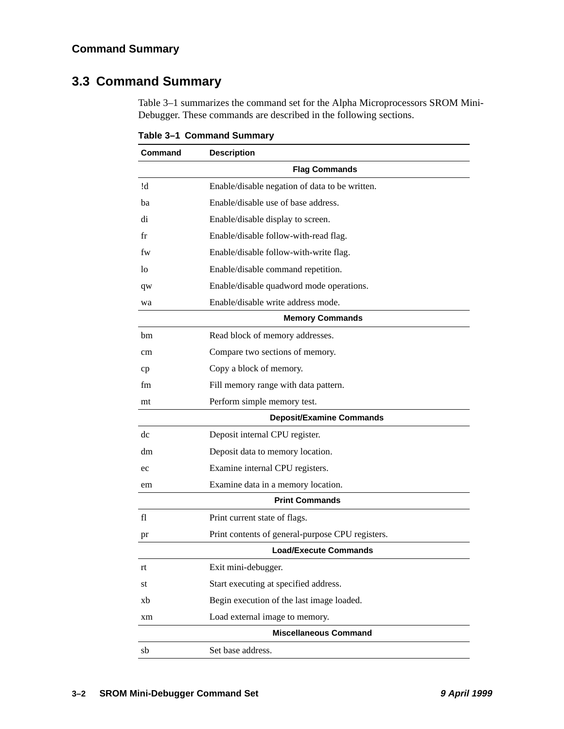## <span id="page-17-0"></span>**3.3 Command Summary**

Table 3–1 summarizes the command set for the Alpha Microprocessors SROM Mini-Debugger. These commands are described in the following sections.

| Command | <b>Description</b>                               |
|---------|--------------------------------------------------|
|         | <b>Flag Commands</b>                             |
| !d      | Enable/disable negation of data to be written.   |
| ba      | Enable/disable use of base address.              |
| di      | Enable/disable display to screen.                |
| fr      | Enable/disable follow-with-read flag.            |
| fw      | Enable/disable follow-with-write flag.           |
| lo      | Enable/disable command repetition.               |
| qw      | Enable/disable quadword mode operations.         |
| wa      | Enable/disable write address mode.               |
|         | <b>Memory Commands</b>                           |
| bm      | Read block of memory addresses.                  |
| cm      | Compare two sections of memory.                  |
| cp      | Copy a block of memory.                          |
| fm      | Fill memory range with data pattern.             |
| mt      | Perform simple memory test.                      |
|         | <b>Deposit/Examine Commands</b>                  |
| dc      | Deposit internal CPU register.                   |
| dm      | Deposit data to memory location.                 |
| ec      | Examine internal CPU registers.                  |
| em      | Examine data in a memory location.               |
|         | <b>Print Commands</b>                            |
| fl      | Print current state of flags.                    |
| pr      | Print contents of general-purpose CPU registers. |
|         | <b>Load/Execute Commands</b>                     |
| rt      | Exit mini-debugger.                              |
| st      | Start executing at specified address.            |
| xb      | Begin execution of the last image loaded.        |
| xm      | Load external image to memory.                   |
|         | <b>Miscellaneous Command</b>                     |
| sb      | Set base address.                                |

**Table 3–1 Command Summary**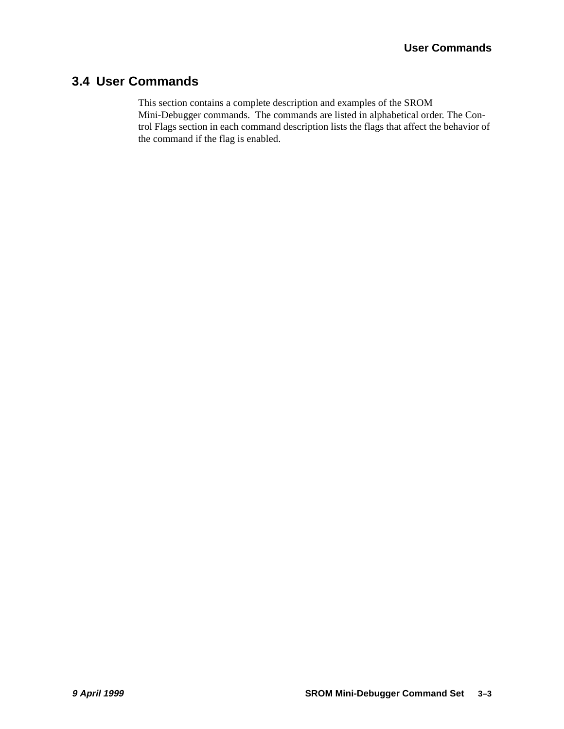## <span id="page-18-0"></span>**3.4 User Commands**

This section contains a complete description and examples of the SROM Mini-Debugger commands. The commands are listed in alphabetical order. The Control Flags section in each command description lists the flags that affect the behavior of the command if the flag is enabled.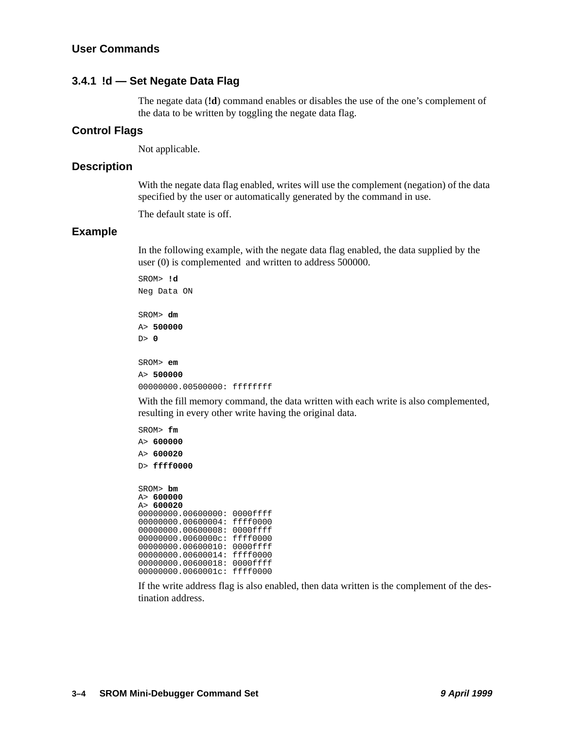#### <span id="page-19-0"></span>**3.4.1 !d — Set Negate Data Flag**

The negate data (**!d**) command enables or disables the use of the one's complement of the data to be written by toggling the negate data flag.

#### **Control Flags**

Not applicable.

#### **Description**

With the negate data flag enabled, writes will use the complement (negation) of the data specified by the user or automatically generated by the command in use.

The default state is off.

#### **Example**

In the following example, with the negate data flag enabled, the data supplied by the user (0) is complemented and written to address 500000.

SROM> **!d** Neg Data ON SROM> **dm** A> **500000** D> **0** SROM> **em** A> **500000** 00000000.00500000: ffffffff

With the fill memory command, the data written with each write is also complemented, resulting in every other write having the original data.

SROM> **fm** A> **600000** A> **600020** D> **ffff0000** SROM> **bm** A> **600000** A> **600020** 00000000.00600000: 0000ffff 00000000.00600004: ffff0000 00000000.00600008: 0000ffff 00000000.0060000c: ffff0000 00000000.00600010: 0000ffff 00000000.00600014: ffff0000 00000000.00600018: 0000ffff

00000000.0060001c: ffff0000

If the write address flag is also enabled, then data written is the complement of the destination address.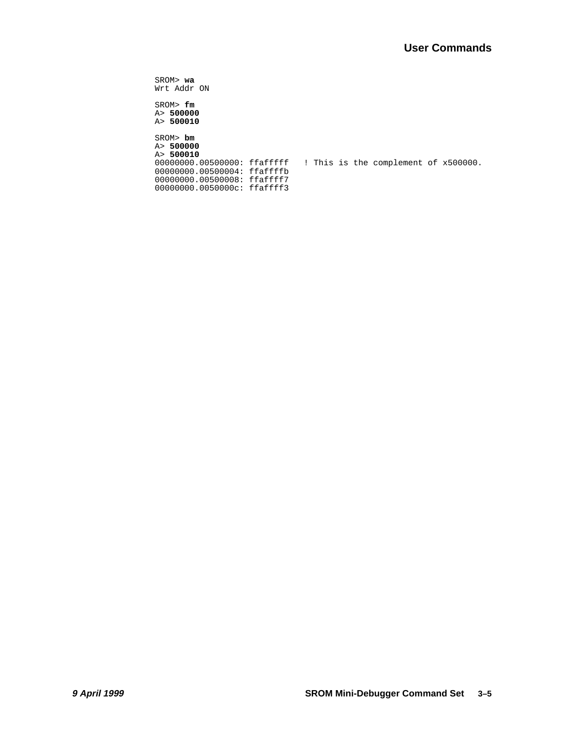SROM> **wa** Wrt Addr ON SROM> **fm** A> **500000** A> **500010**

SROM> **bm** A> **500000** A> **500010**<br>00000000.00500000: ffafffff ! This is the complement of x500000. 00000000.00500004: ffaffffb 00000000.00500008: ffaffff7 00000000.0050000c: ffaffff3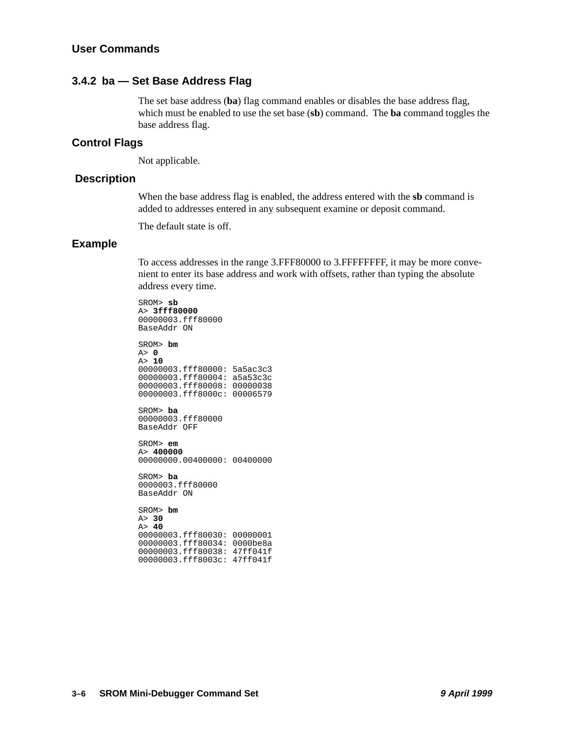#### <span id="page-21-0"></span>**3.4.2 ba — Set Base Address Flag**

The set base address (**ba**) flag command enables or disables the base address flag, which must be enabled to use the set base (**sb**) command. The **ba** command toggles the base address flag.

#### **Control Flags**

Not applicable.

#### **Description**

When the base address flag is enabled, the address entered with the **sb** command is added to addresses entered in any subsequent examine or deposit command.

The default state is off.

#### **Example**

To access addresses in the range 3.FFF80000 to 3.FFFFFFFF, it may be more convenient to enter its base address and work with offsets, rather than typing the absolute address every time.

SROM> **sb** A> **3fff80000** 00000003.fff80000 BaseAddr ON

SROM> **bm** A> **0** A> **10** 00000003.fff80000: 5a5ac3c3 00000003.fff80004: a5a53c3c 00000003.fff80008: 00000038 00000003.fff8000c: 00006579 SROM> **ba** 00000003.fff80000 BaseAddr OFF SROM> **em** A> **400000** 00000000.00400000: 00400000 SROM> **ba**

0000003.fff80000 BaseAddr ON

SROM> **bm** A> **30** A> **40** 00000003.fff80030: 00000001 00000003.fff80034: 0000be8a 00000003.fff80038: 47ff041f 00000003.fff8003c: 47ff041f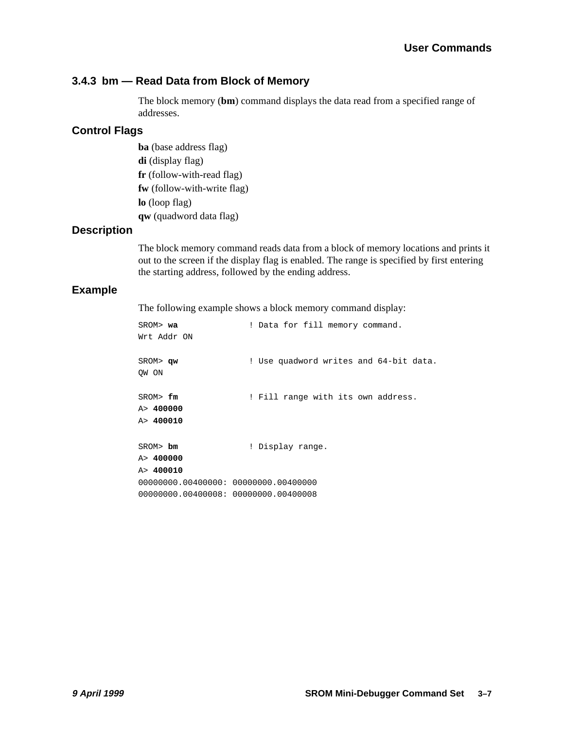#### <span id="page-22-0"></span>**3.4.3 bm — Read Data from Block of Memory**

The block memory (**bm**) command displays the data read from a specified range of addresses.

#### **Control Flags**

**ba** (base address flag) **di** (display flag) **fr** (follow-with-read flag) **fw** (follow-with-write flag) **lo** (loop flag) **qw** (quadword data flag)

#### **Description**

The block memory command reads data from a block of memory locations and prints it out to the screen if the display flag is enabled. The range is specified by first entering the starting address, followed by the ending address.

#### **Example**

The following example shows a block memory command display:

| $SROM$ wa                            | ! Data for fill memory command.        |
|--------------------------------------|----------------------------------------|
| Wrt Addr ON                          |                                        |
| SROM> qw                             | ! Use quadword writes and 64-bit data. |
| OW ON                                |                                        |
| SROM> fm                             | ! Fill range with its own address.     |
| A > 400000                           |                                        |
| A> 400010                            |                                        |
|                                      |                                        |
| SROM> bm                             | ! Display range.                       |
| A > 400000                           |                                        |
| A> 400010                            |                                        |
| 00000000.00400000: 00000000.00400000 |                                        |
| 00000000.00400008: 00000000.00400008 |                                        |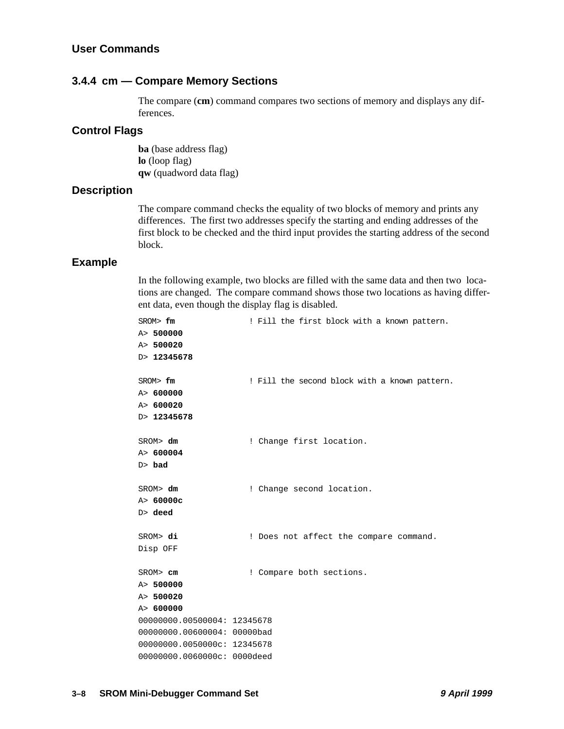#### <span id="page-23-0"></span>**User Commands**

#### **3.4.4 cm — Compare Memory Sections**

The compare (**cm**) command compares two sections of memory and displays any differences.

#### **Control Flags**

**ba** (base address flag) **lo** (loop flag) **qw** (quadword data flag)

#### **Description**

The compare command checks the equality of two blocks of memory and prints any differences. The first two addresses specify the starting and ending addresses of the first block to be checked and the third input provides the starting address of the second block.

#### **Example**

In the following example, two blocks are filled with the same data and then two locations are changed. The compare command shows those two locations as having different data, even though the display flag is disabled.

| SROM> fm                    | ! Fill the first block with a known pattern.  |
|-----------------------------|-----------------------------------------------|
| A> 500000                   |                                               |
| A> 500020                   |                                               |
| D> 12345678                 |                                               |
|                             |                                               |
| SROM> fm                    | ! Fill the second block with a known pattern. |
| A> 600000                   |                                               |
| A> 600020                   |                                               |
| D> 12345678                 |                                               |
|                             |                                               |
| SROM> dm                    | ! Change first location.                      |
| A > 600004                  |                                               |
| $D>$ bad                    |                                               |
|                             |                                               |
| SROM> dm                    | ! Change second location.                     |
| A > 60000c                  |                                               |
| $D>$ deed                   |                                               |
|                             |                                               |
| SROM> di                    | ! Does not affect the compare command.        |
| Disp OFF                    |                                               |
|                             |                                               |
| SROM> cm                    | ! Compare both sections.                      |
| A> 500000                   |                                               |
| A> 500020                   |                                               |
| A> 600000                   |                                               |
| 00000000.00500004: 12345678 |                                               |
| 00000000.00600004: 00000bad |                                               |
| 00000000.0050000c: 12345678 |                                               |
| 00000000.0060000c: 0000deed |                                               |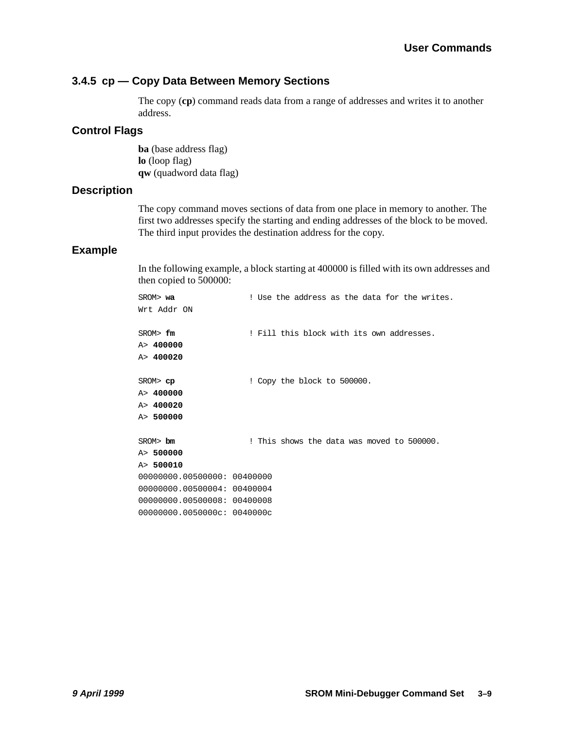#### <span id="page-24-0"></span>**3.4.5 cp — Copy Data Between Memory Sections**

The copy (**cp**) command reads data from a range of addresses and writes it to another address.

#### **Control Flags**

**ba** (base address flag) **lo** (loop flag) **qw** (quadword data flag)

#### **Description**

The copy command moves sections of data from one place in memory to another. The first two addresses specify the starting and ending addresses of the block to be moved. The third input provides the destination address for the copy.

#### **Example**

In the following example, a block starting at 400000 is filled with its own addresses and then copied to 500000:

| SROM> wa                    | ! Use the address as the data for the writes. |
|-----------------------------|-----------------------------------------------|
| Wrt Addr ON                 |                                               |
| SRON>fm                     | ! Fill this block with its own addresses.     |
| A> 400000                   |                                               |
| A > 400020                  |                                               |
| SROM>cp                     | ! Copy the block to 500000.                   |
| A> 400000                   |                                               |
| A> 400020                   |                                               |
| A> 500000                   |                                               |
| $SROM$ bm                   | ! This shows the data was moved to 500000.    |
| A> 500000                   |                                               |
| A> 500010                   |                                               |
| 00000000.00500000: 00400000 |                                               |
| 00000000.00500004: 00400004 |                                               |
| 00000000.00500008: 00400008 |                                               |
| 00000000.0050000c: 0040000c |                                               |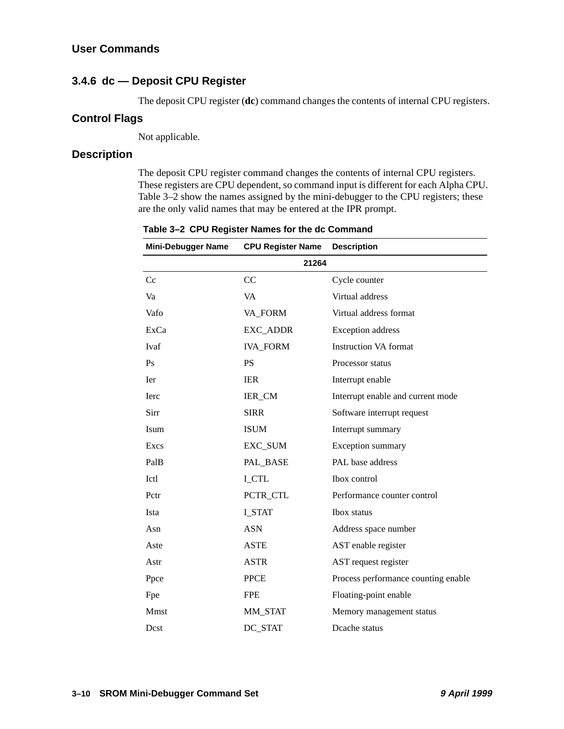#### <span id="page-25-0"></span>**3.4.6 dc — Deposit CPU Register**

The deposit CPU register (**dc**) command changes the contents of internal CPU registers.

#### **Control Flags**

Not applicable.

#### **Description**

The deposit CPU register command changes the contents of internal CPU registers. These registers are CPU dependent, so command input is different for each Alpha CPU. Table 3–2 show the names assigned by the mini-debugger to the CPU registers; these are the only valid names that may be entered at the IPR prompt.

| <b>Mini-Debugger Name</b> | <b>CPU Register Name</b> | <b>Description</b>                  |
|---------------------------|--------------------------|-------------------------------------|
| 21264                     |                          |                                     |
| Cc                        | CC                       | Cycle counter                       |
| Va                        | <b>VA</b>                | Virtual address                     |
| Vafo                      | VA_FORM                  | Virtual address format              |
| ExCa                      | EXC_ADDR                 | <b>Exception</b> address            |
| <b>Ivaf</b>               | <b>IVA_FORM</b>          | <b>Instruction VA format</b>        |
| Ps                        | <b>PS</b>                | Processor status                    |
| <b>I</b> er               | <b>IER</b>               | Interrupt enable                    |
| <b>I</b> erc              | IER_CM                   | Interrupt enable and current mode   |
| Sirr                      | <b>SIRR</b>              | Software interrupt request          |
| Isum                      | <b>ISUM</b>              | Interrupt summary                   |
| Excs                      | EXC_SUM                  | Exception summary                   |
| PalB                      | PAL_BASE                 | PAL base address                    |
| Ictl                      | <b>I_CTL</b>             | Ibox control                        |
| Pctr                      | PCTR_CTL                 | Performance counter control         |
| Ista                      | I STAT                   | Ibox status                         |
| Asn                       | <b>ASN</b>               | Address space number                |
| Aste                      | <b>ASTE</b>              | AST enable register                 |
| Astr                      | <b>ASTR</b>              | AST request register                |
| Ppce                      | <b>PPCE</b>              | Process performance counting enable |
| Fpe                       | <b>FPE</b>               | Floating-point enable               |
| <b>Mmst</b>               | MM_STAT                  | Memory management status            |
| Dest                      | DC STAT                  | Deache status                       |

**Table 3–2 CPU Register Names for the dc Command**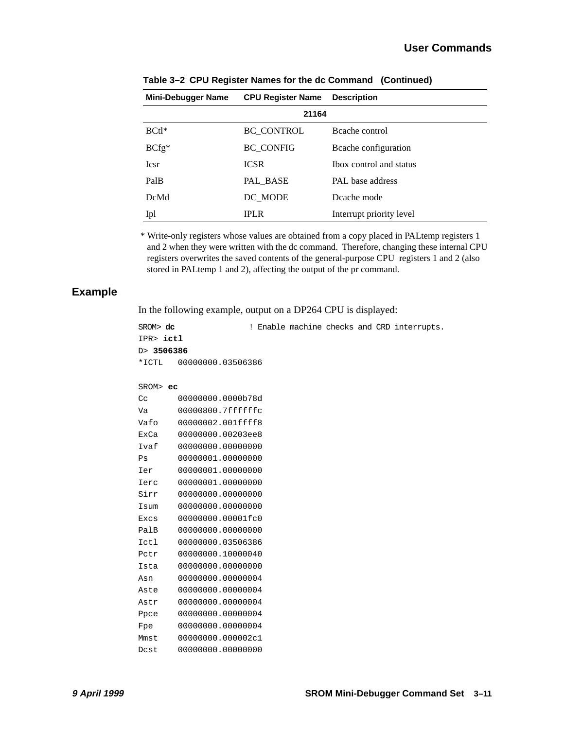| <b>Mini-Debugger Name</b> | <b>CPU Register Name</b> | <b>Description</b>       |
|---------------------------|--------------------------|--------------------------|
| 21164                     |                          |                          |
| $BCH*$                    | <b>BC CONTROL</b>        | Beache control           |
| $BCfg*$                   | <b>BC_CONFIG</b>         | Beache configuration     |
| <b>Icsr</b>               | <b>ICSR</b>              | Thox control and status  |
| PalB                      | PAL BASE                 | PAL base address         |
| <b>DcMd</b>               | DC MODE                  | Dcache mode              |
| Ipl                       | <b>IPLR</b>              | Interrupt priority level |

**Table 3–2 CPU Register Names for the dc Command (Continued)**

\* Write-only registers whose values are obtained from a copy placed in PALtemp registers 1 and 2 when they were written with the dc command. Therefore, changing these internal CPU registers overwrites the saved contents of the general-purpose CPU registers 1 and 2 (also stored in PALtemp 1 and 2), affecting the output of the pr command.

#### **Example**

In the following example, output on a DP264 CPU is displayed:

```
SROM> dc ! Enable machine checks and CRD interrupts.
IPR> ictl
D> 3506386
*ICTL 00000000.03506386
SROM> ec
Cc 00000000.0000b78d
Va 00000800.7ffffffc
Vafo 00000002.001ffff8
ExCa 00000000.00203ee8
Ivaf 00000000.00000000
Ps 00000001.00000000
Ier 00000001.00000000
Ierc 00000001.00000000
Sirr 00000000.00000000
Isum 00000000.00000000
Excs 00000000.00001fc0
PalB 00000000.00000000
Ictl 00000000.03506386
Pctr 00000000.10000040
Ista 00000000.00000000
Asn 00000000.00000004
Aste 00000000.00000004
Astr 00000000.00000004
Ppce 00000000.00000004
Fpe 00000000.00000004
Mmst 00000000.000002c1
Dcst 00000000.00000000
```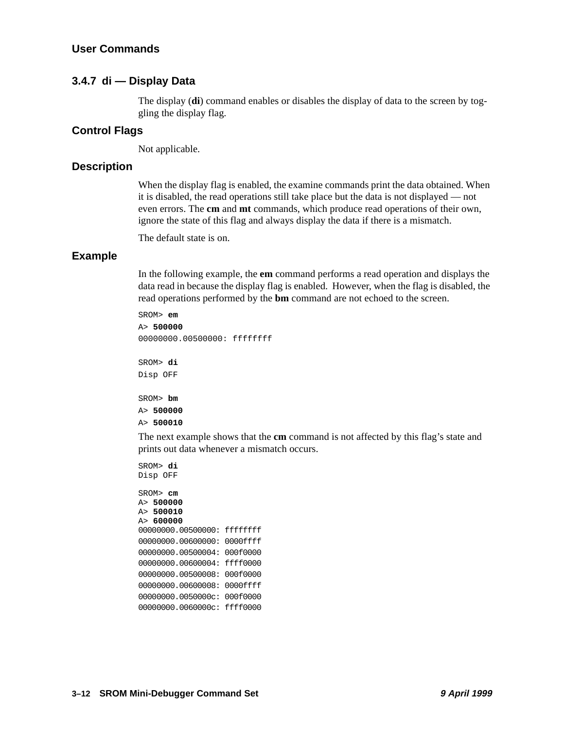#### <span id="page-27-0"></span>**3.4.7 di — Display Data**

The display (**di**) command enables or disables the display of data to the screen by toggling the display flag.

#### **Control Flags**

Not applicable.

#### **Description**

When the display flag is enabled, the examine commands print the data obtained. When it is disabled, the read operations still take place but the data is not displayed — not even errors. The **cm** and **mt** commands, which produce read operations of their own, ignore the state of this flag and always display the data if there is a mismatch.

The default state is on.

#### **Example**

In the following example, the **em** command performs a read operation and displays the data read in because the display flag is enabled. However, when the flag is disabled, the read operations performed by the **bm** command are not echoed to the screen.

```
SROM> em
A> 500000
00000000.005000000: ffffffff
SROM> di
Disp OFF
SROM> bm
A> 500000
A> 500010
```
The next example shows that the **cm** command is not affected by this flag's state and prints out data whenever a mismatch occurs.

```
SROM> di 
Disp OFF
```

```
SROM> cm
A> 500000
A> 500010
A> 600000 
00000000.00500000: ffffffff
00000000.00600000: 0000ffff
00000000.00500004: 000f0000
00000000.00600004: ffff0000
00000000.00500008: 000f0000
00000000.00600008: 0000ffff 
00000000.0050000c: 000f0000 
00000000.0060000c: ffff0000
```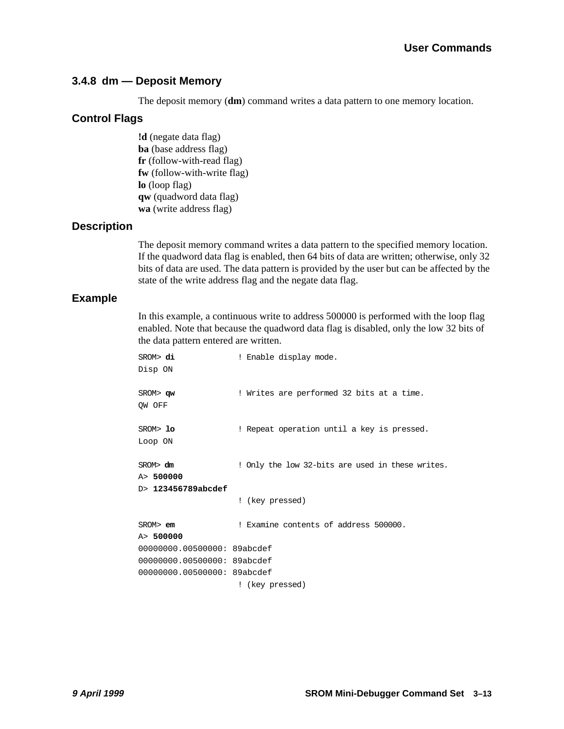#### <span id="page-28-0"></span>**3.4.8 dm — Deposit Memory**

The deposit memory (**dm**) command writes a data pattern to one memory location.

#### **Control Flags**

**!d** (negate data flag) **ba** (base address flag) **fr** (follow-with-read flag) **fw** (follow-with-write flag) **lo** (loop flag) **qw** (quadword data flag) **wa** (write address flag)

#### **Description**

The deposit memory command writes a data pattern to the specified memory location. If the quadword data flag is enabled, then 64 bits of data are written; otherwise, only 32 bits of data are used. The data pattern is provided by the user but can be affected by the state of the write address flag and the negate data flag.

#### **Example**

In this example, a continuous write to address 500000 is performed with the loop flag enabled. Note that because the quadword data flag is disabled, only the low 32 bits of the data pattern entered are written.

| SROM> di                    | ! Enable display mode.                           |  |
|-----------------------------|--------------------------------------------------|--|
| Disp ON                     |                                                  |  |
| SROM> qw                    | ! Writes are performed 32 bits at a time.        |  |
| OW OFF                      |                                                  |  |
| SROM> lo                    | ! Repeat operation until a key is pressed.       |  |
| Loop ON                     |                                                  |  |
| SROM > dm                   | ! Only the low 32-bits are used in these writes. |  |
| A> 500000                   |                                                  |  |
| D> 123456789abcdef          |                                                  |  |
|                             | ! (key pressed)                                  |  |
| $SROM >$ em                 | ! Examine contents of address 500000.            |  |
| A > 500000                  |                                                  |  |
| 00000000.00500000: 89abcdef |                                                  |  |
| 00000000.00500000: 89abcdef |                                                  |  |
| 00000000.00500000: 89abcdef |                                                  |  |
|                             | ! (key pressed)                                  |  |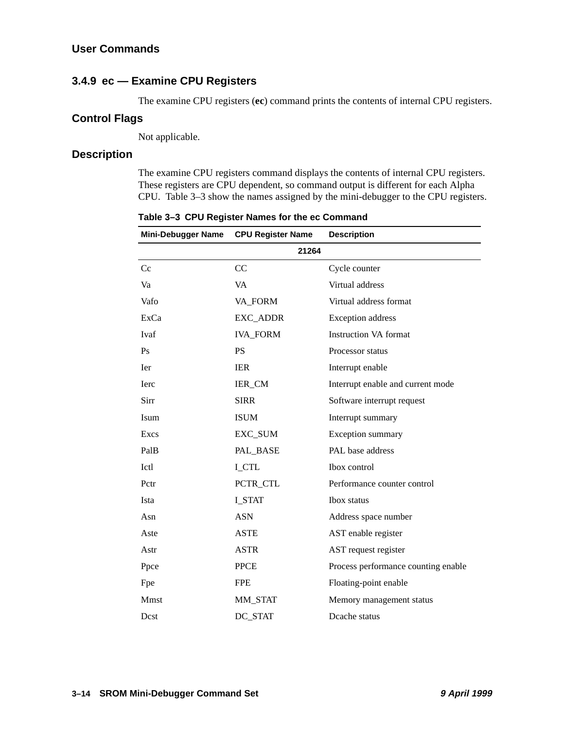#### <span id="page-29-0"></span>**3.4.9 ec — Examine CPU Registers**

The examine CPU registers (**ec**) command prints the contents of internal CPU registers.

#### **Control Flags**

Not applicable.

#### **Description**

The examine CPU registers command displays the contents of internal CPU registers. These registers are CPU dependent, so command output is different for each Alpha CPU. Table 3–3 show the names assigned by the mini-debugger to the CPU registers.

| <b>Mini-Debugger Name</b> | <b>CPU Register Name</b> | <b>Description</b>                  |
|---------------------------|--------------------------|-------------------------------------|
| 21264                     |                          |                                     |
| Cc                        | CC                       | Cycle counter                       |
| Va                        | VA                       | Virtual address                     |
| Vafo                      | VA_FORM                  | Virtual address format              |
| ExCa                      | EXC_ADDR                 | <b>Exception</b> address            |
| Ivaf                      | <b>IVA_FORM</b>          | <b>Instruction VA format</b>        |
| Ps                        | <b>PS</b>                | Processor status                    |
| Ier                       | <b>IER</b>               | Interrupt enable                    |
| <b>I</b> erc              | IER_CM                   | Interrupt enable and current mode   |
| Sirr                      | <b>SIRR</b>              | Software interrupt request          |
| Isum                      | <b>ISUM</b>              | Interrupt summary                   |
| Excs                      | EXC_SUM                  | Exception summary                   |
| PalB                      | PAL_BASE                 | PAL base address                    |
| Ictl                      | <b>I_CTL</b>             | Ibox control                        |
| Pctr                      | PCTR_CTL                 | Performance counter control         |
| Ista                      | <b>I_STAT</b>            | <b>Ibox</b> status                  |
| Asn                       | <b>ASN</b>               | Address space number                |
| Aste                      | <b>ASTE</b>              | AST enable register                 |
| Astr                      | <b>ASTR</b>              | AST request register                |
| Ppce                      | <b>PPCE</b>              | Process performance counting enable |
| Fpe                       | <b>FPE</b>               | Floating-point enable               |
| Mmst                      | MM_STAT                  | Memory management status            |
| Dest                      | DC_STAT                  | Deache status                       |

**Table 3–3 CPU Register Names for the ec Command**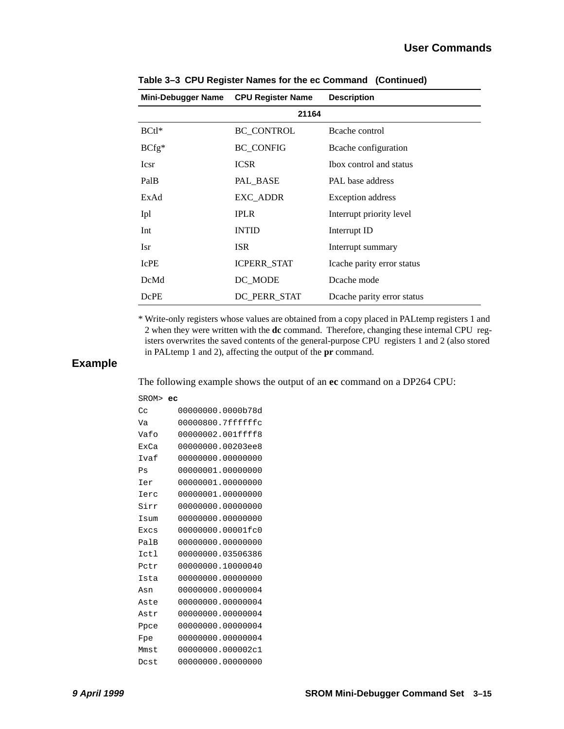| <b>Mini-Debugger Name</b> | <b>CPU Register Name</b> | <b>Description</b>         |
|---------------------------|--------------------------|----------------------------|
| 21164                     |                          |                            |
| $BCl^*$                   | <b>BC CONTROL</b>        | Beache control             |
| $BCfg*$                   | <b>BC CONFIG</b>         | Beache configuration       |
| Icsr                      | <b>ICSR</b>              | Ibox control and status    |
| PalB                      | PAL_BASE                 | PAL base address           |
| ExAd                      | EXC_ADDR                 | Exception address          |
| Ipl                       | <b>IPLR</b>              | Interrupt priority level   |
| Int                       | <b>INTID</b>             | Interrupt ID               |
| Isr                       | <b>ISR</b>               | Interrupt summary          |
| <b>IcPE</b>               | <b>ICPERR STAT</b>       | Icache parity error status |
| <b>DcMd</b>               | DC MODE                  | Dcache mode                |
| DcPE                      | DC_PERR_STAT             | Deache parity error status |

**Table 3–3 CPU Register Names for the ec Command (Continued)**

\* Write-only registers whose values are obtained from a copy placed in PALtemp registers 1 and 2 when they were written with the **dc** command. Therefore, changing these internal CPU registers overwrites the saved contents of the general-purpose CPU registers 1 and 2 (also stored in PALtemp 1 and 2), affecting the output of the **pr** command.

#### **Example**

The following example shows the output of an **ec** command on a DP264 CPU:

| SROM> ec    |                   |
|-------------|-------------------|
| Cc          | 00000000.0000b78d |
| Va          | 00000800.7ffffffc |
| Vafo        | 00000002.001ffff8 |
| <b>ExCa</b> | 00000000.00203ee8 |
| Ivaf        | 00000000.00000000 |
| Ps          | 00000001.00000000 |
| Ier         | 00000001.00000000 |
| Ierc        | 00000001.00000000 |
| Sirr        | 00000000.00000000 |
| Isum        | 00000000.00000000 |
| Excs        | 00000000.00001fc0 |
| PalB        | 00000000.00000000 |
| Ictl        | 00000000.03506386 |
| Potr        | 00000000.10000040 |
| Ista        | 00000000.00000000 |
| Asn         | 00000000.00000004 |
| Aste        | 00000000.00000004 |
| Astr        | 00000000.00000004 |
| Ppce        | 00000000.00000004 |
| Fpe         | 00000000.00000004 |
| Mmst        | 00000000.000002c1 |
| Dost        | 00000000.00000000 |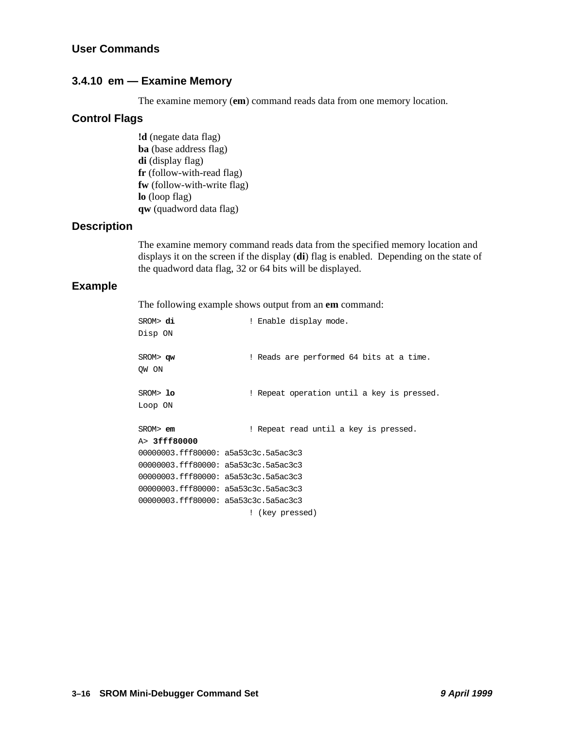#### <span id="page-31-0"></span>**3.4.10 em — Examine Memory**

The examine memory (**em**) command reads data from one memory location.

## **Control Flags**

**!d** (negate data flag) **ba** (base address flag) **di** (display flag) **fr** (follow-with-read flag) **fw** (follow-with-write flag) **lo** (loop flag) **qw** (quadword data flag)

#### **Description**

The examine memory command reads data from the specified memory location and displays it on the screen if the display (**di**) flag is enabled. Depending on the state of the quadword data flag, 32 or 64 bits will be displayed.

#### **Example**

The following example shows output from an **em** command:

| SROM> di                                                                                                                                                                                                                                                           | ! Enable display mode.                     |
|--------------------------------------------------------------------------------------------------------------------------------------------------------------------------------------------------------------------------------------------------------------------|--------------------------------------------|
| Disp ON                                                                                                                                                                                                                                                            |                                            |
| SROM> qw                                                                                                                                                                                                                                                           | ! Reads are performed 64 bits at a time.   |
| OW ON                                                                                                                                                                                                                                                              |                                            |
|                                                                                                                                                                                                                                                                    |                                            |
| SROM>10                                                                                                                                                                                                                                                            | ! Repeat operation until a key is pressed. |
| Loop ON                                                                                                                                                                                                                                                            |                                            |
|                                                                                                                                                                                                                                                                    |                                            |
| $SROM$ $\geq$ $\geq$ $\geq$ $\geq$ $\geq$ $\geq$ $\geq$ $\geq$ $\geq$ $\geq$ $\geq$ $\geq$ $\geq$ $\geq$ $\geq$ $\geq$ $\geq$ $\geq$ $\geq$ $\geq$ $\geq$ $\geq$ $\geq$ $\geq$ $\geq$ $\geq$ $\geq$ $\geq$ $\geq$ $\geq$ $\geq$ $\geq$ $\geq$ $\geq$ $\geq$ $\geq$ | ! Repeat read until a key is pressed.      |
| A> 3fff80000                                                                                                                                                                                                                                                       |                                            |
| $00000003.$ fff80000: a5a53c3c.5a5ac3c3                                                                                                                                                                                                                            |                                            |
| 00000003.fff80000: a5a53c3c.5a5ac3c3                                                                                                                                                                                                                               |                                            |
| 00000003.fff80000: a5a53c3c.5a5ac3c3                                                                                                                                                                                                                               |                                            |
| 00000003.fff80000: a5a53c3c.5a5ac3c3                                                                                                                                                                                                                               |                                            |
| 00000003.fff80000: a5a53c3c.5a5ac3c3                                                                                                                                                                                                                               |                                            |
|                                                                                                                                                                                                                                                                    | ! (key pressed)                            |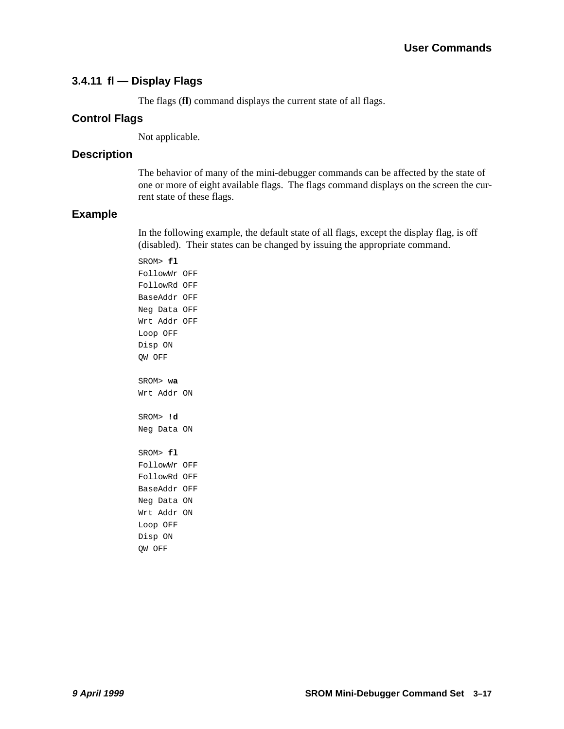#### <span id="page-32-0"></span>**3.4.11 fl — Display Flags**

The flags (**fl**) command displays the current state of all flags.

#### **Control Flags**

Not applicable.

#### **Description**

The behavior of many of the mini-debugger commands can be affected by the state of one or more of eight available flags. The flags command displays on the screen the current state of these flags.

#### **Example**

In the following example, the default state of all flags, except the display flag, is off (disabled). Their states can be changed by issuing the appropriate command.

SROM> **fl** FollowWr OFF FollowRd OFF BaseAddr OFF Neg Data OFF Wrt Addr OFF Loop OFF Disp ON QW OFF SROM> **wa**  Wrt Addr ON SROM> **!d** Neg Data ON SROM> **fl** FollowWr OFF FollowRd OFF BaseAddr OFF Neg Data ON Wrt Addr ON Loop OFF Disp ON QW OFF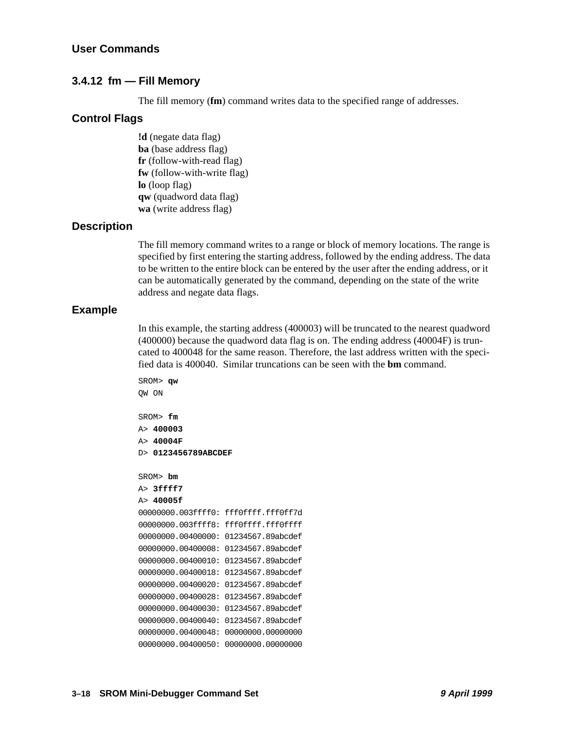#### <span id="page-33-0"></span>**3.4.12 fm — Fill Memory**

The fill memory (**fm**) command writes data to the specified range of addresses.

#### **Control Flags**

**!d** (negate data flag) **ba** (base address flag) **fr** (follow-with-read flag) **fw** (follow-with-write flag) **lo** (loop flag) **qw** (quadword data flag) **wa** (write address flag)

#### **Description**

The fill memory command writes to a range or block of memory locations. The range is specified by first entering the starting address, followed by the ending address. The data to be written to the entire block can be entered by the user after the ending address, or it can be automatically generated by the command, depending on the state of the write address and negate data flags.

#### **Example**

In this example, the starting address (400003) will be truncated to the nearest quadword (400000) because the quadword data flag is on. The ending address (40004F) is truncated to 400048 for the same reason. Therefore, the last address written with the specified data is 400040. Similar truncations can be seen with the **bm** command.

```
SROM> qw
QW ON
SROM> fm 
A> 400003
A> 40004F
D> 0123456789ABCDEF
SROM> bm
A> 3ffff7 
A> 40005f
00000000.003ffff0: fff0ffff.fff0ff7d
00000000.003ffff8: fff0ffff.fff0ffff 
00000000.00400000: 01234567.89abcdef
00000000.00400008: 01234567.89abcdef
00000000.00400010: 01234567.89abcdef
00000000.00400018: 01234567.89abcdef
00000000.00400020: 01234567.89abcdef
00000000.00400028: 01234567.89abcdef 
00000000.00400030: 01234567.89abcdef 
00000000.00400040: 01234567.89abcdef
00000000.00400048: 00000000.00000000
00000000.00400050: 00000000.00000000
```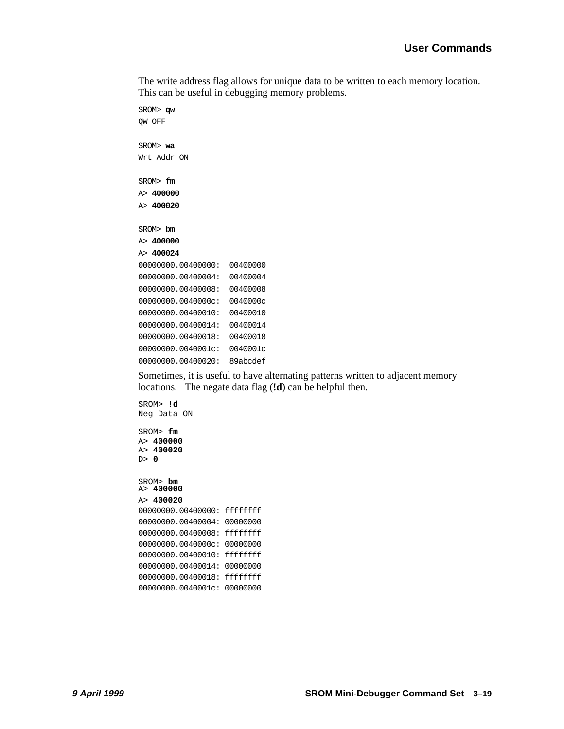The write address flag allows for unique data to be written to each memory location. This can be useful in debugging memory problems.

```
SROM> qw
QW OFF
SROM> wa 
Wrt Addr ON
SROM> fm 
A> 400000
A> 400020
SROM> bm 
A> 400000
A> 400024
00000000.00400000: 00400000
00000000.00400004: 00400004
00000000.00400008: 00400008 
00000000.0040000c: 0040000c
00000000.00400010: 00400010
00000000.00400014: 00400014
00000000.00400018: 00400018 
00000000.0040001c: 0040001c
00000000.00400020: 89abcdef
```
Sometimes, it is useful to have alternating patterns written to adjacent memory locations. The negate data flag (**!d**) can be helpful then.

```
SROM> !d
Neg Data ON
SROM> fm 
A> 400000
A> 400020
D> 0
SROM> bm
A> 400000
A> 400020
00000000.00400000: ffffffff
00000000.00400004: 00000000
00000000.00400008: ffffffff 
00000000.0040000c: 00000000 
00000000.00400010: ffffffff
00000000.00400014: 00000000
00000000.00400018: ffffffff 
00000000.0040001c: 00000000
```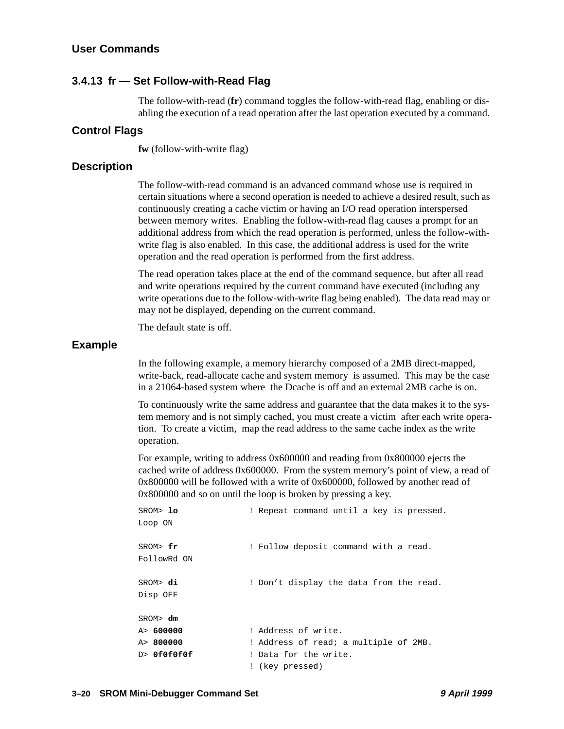#### <span id="page-35-0"></span>**User Commands**

#### **3.4.13 fr — Set Follow-with-Read Flag**

The follow-with-read (**fr**) command toggles the follow-with-read flag, enabling or disabling the execution of a read operation after the last operation executed by a command.

#### **Control Flags**

**fw** (follow-with-write flag)

#### **Description**

The follow-with-read command is an advanced command whose use is required in certain situations where a second operation is needed to achieve a desired result, such as continuously creating a cache victim or having an I/O read operation interspersed between memory writes. Enabling the follow-with-read flag causes a prompt for an additional address from which the read operation is performed, unless the follow-withwrite flag is also enabled. In this case, the additional address is used for the write operation and the read operation is performed from the first address.

The read operation takes place at the end of the command sequence, but after all read and write operations required by the current command have executed (including any write operations due to the follow-with-write flag being enabled). The data read may or may not be displayed, depending on the current command.

The default state is off.

#### **Example**

In the following example, a memory hierarchy composed of a 2MB direct-mapped, write-back, read-allocate cache and system memory is assumed. This may be the case in a 21064-based system where the Dcache is off and an external 2MB cache is on.

To continuously write the same address and guarantee that the data makes it to the system memory and is not simply cached, you must create a victim after each write operation. To create a victim, map the read address to the same cache index as the write operation.

For example, writing to address 0x600000 and reading from 0x800000 ejects the cached write of address 0x600000. From the system memory's point of view, a read of 0x800000 will be followed with a write of 0x600000, followed by another read of 0x800000 and so on until the loop is broken by pressing a key.

| SROM> lo<br>Loop ON     | ! Repeat command until a key is pressed. |
|-------------------------|------------------------------------------|
| SROM> fr<br>FollowRd ON | ! Follow deposit command with a read.    |
| SROM> di<br>Disp OFF    | ! Don't display the data from the read.  |
| SROM> dm                |                                          |
| A> 600000               | ! Address of write.                      |
| A> 800000               | ! Address of read; a multiple of 2MB.    |
| D> OfOfOfOf             | ! Data for the write.                    |
|                         | ! (key pressed)                          |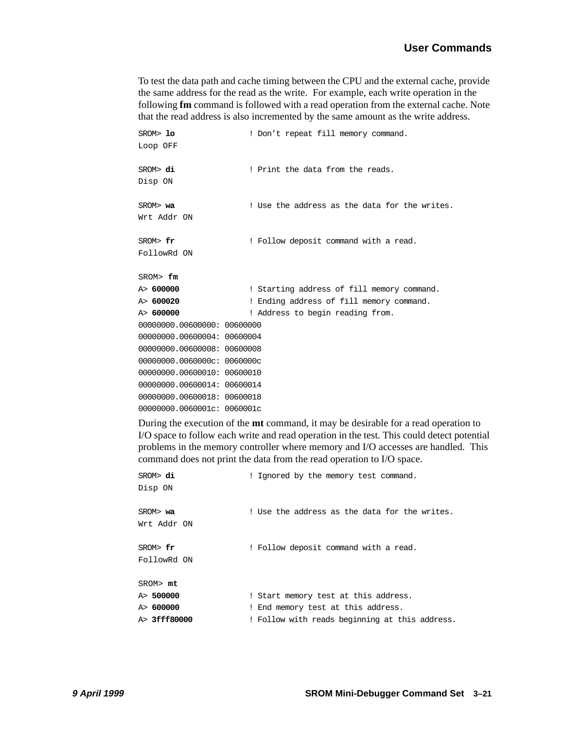To test the data path and cache timing between the CPU and the external cache, provide the same address for the read as the write. For example, each write operation in the following **fm** command is followed with a read operation from the external cache. Note that the read address is also incremented by the same amount as the write address.

| SROM> lo<br>Loop OFF        | ! Don't repeat fill memory command.           |  |
|-----------------------------|-----------------------------------------------|--|
| SROM> di<br>Disp ON         | ! Print the data from the reads.              |  |
| SROM> wa<br>Wrt Addr ON     | ! Use the address as the data for the writes. |  |
| SROM> fr<br>FollowRd ON     | ! Follow deposit command with a read.         |  |
| SROM> fm                    |                                               |  |
| A> 600000                   | ! Starting address of fill memory command.    |  |
| A> 600020                   | ! Ending address of fill memory command.      |  |
| A> 600000                   | ! Address to begin reading from.              |  |
| 00000000.00600000: 00600000 |                                               |  |
| 00000000.00600004: 00600004 |                                               |  |
| 00000000.00600008: 00600008 |                                               |  |
| 00000000.0060000c: 0060000c |                                               |  |
| 00000000.00600010: 00600010 |                                               |  |
| 00000000.00600014: 00600014 |                                               |  |
| 00000000.00600018: 00600018 |                                               |  |
| 00000000.0060001c: 0060001c |                                               |  |

During the execution of the **mt** command, it may be desirable for a read operation to I/O space to follow each write and read operation in the test. This could detect potential problems in the memory controller where memory and I/O accesses are handled. This command does not print the data from the read operation to I/O space.

| SROM> di<br>Disp ON     | ! Ignored by the memory test command.          |
|-------------------------|------------------------------------------------|
| SROM> wa<br>Wrt Addr ON | ! Use the address as the data for the writes.  |
| SROM> fr<br>FollowRd ON | ! Follow deposit command with a read.          |
| SROM> mt                |                                                |
| A> 500000               | ! Start memory test at this address.           |
| A> 600000               | ! End memory test at this address.             |
| A> <b>3fff80000</b>     | ! Follow with reads beginning at this address. |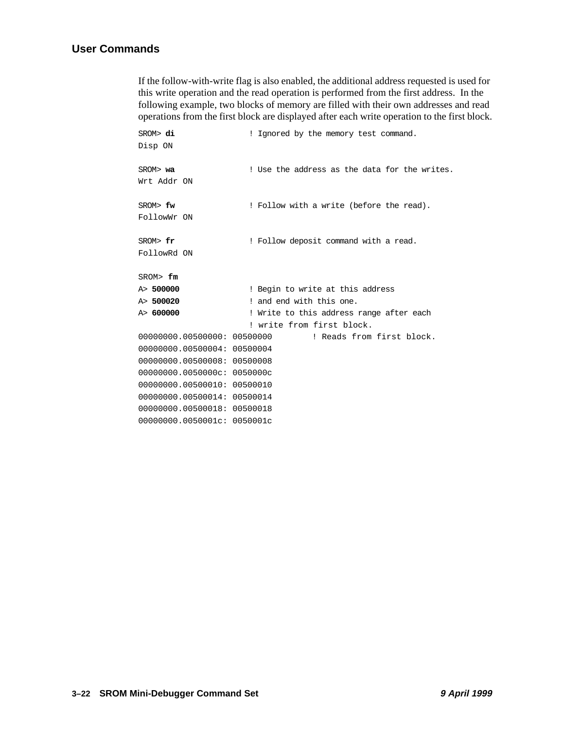#### **User Commands**

If the follow-with-write flag is also enabled, the additional address requested is used for this write operation and the read operation is performed from the first address. In the following example, two blocks of memory are filled with their own addresses and read operations from the first block are displayed after each write operation to the first block.

| SROM> di<br>Disp ON         | ! Ignored by the memory test command.         |
|-----------------------------|-----------------------------------------------|
| SROM> wa<br>Wrt Addr ON     | ! Use the address as the data for the writes. |
| SROM> fw<br>FollowWr ON     | ! Follow with a write (before the read).      |
| SROM> fr<br>FollowRd ON     | ! Follow deposit command with a read.         |
| SROM> fm                    |                                               |
| A> 500000                   | ! Begin to write at this address              |
| A> 500020                   | ! and end with this one.                      |
| A> 600000                   | ! Write to this address range after each      |
|                             | ! write from first block.                     |
| 00000000.00500000: 00500000 | ! Reads from first block.                     |
| 00000000.00500004: 00500004 |                                               |
| 00000000.00500008: 00500008 |                                               |
| 00000000.0050000c: 0050000c |                                               |
| 00000000.00500010: 00500010 |                                               |
| 00000000.00500014: 00500014 |                                               |
| 00000000.00500018: 00500018 |                                               |
| 00000000.0050001c: 0050001c |                                               |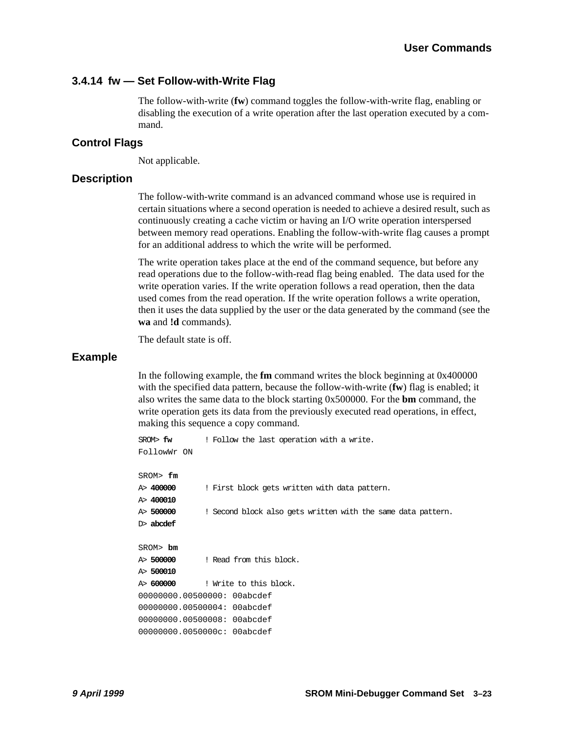#### <span id="page-38-0"></span>**3.4.14 fw — Set Follow-with-Write Flag**

The follow-with-write (**fw**) command toggles the follow-with-write flag, enabling or disabling the execution of a write operation after the last operation executed by a command.

#### **Control Flags**

Not applicable.

#### **Description**

The follow-with-write command is an advanced command whose use is required in certain situations where a second operation is needed to achieve a desired result, such as continuously creating a cache victim or having an I/O write operation interspersed between memory read operations. Enabling the follow-with-write flag causes a prompt for an additional address to which the write will be performed.

The write operation takes place at the end of the command sequence, but before any read operations due to the follow-with-read flag being enabled. The data used for the write operation varies. If the write operation follows a read operation, then the data used comes from the read operation. If the write operation follows a write operation, then it uses the data supplied by the user or the data generated by the command (see the **wa** and **!d** commands).

The default state is off.

#### **Example**

In the following example, the **fm** command writes the block beginning at 0x400000 with the specified data pattern, because the follow-with-write (**fw**) flag is enabled; it also writes the same data to the block starting 0x500000. For the **bm** command, the write operation gets its data from the previously executed read operations, in effect, making this sequence a copy command.

```
SROM> fw ! Follow the last operation with a write.
FollowWr ON
SROM> fm
A> 400000 ! First block gets written with data pattern.
A> 400010
A> 500000 ! Second block also gets written with the same data pattern.
D> abcdef
SROM> bm
A> 500000 ! Read from this block.
A> 500010
A> 600000 ! Write to this block.
00000000.00500000: 00abcdef 
00000000.00500004: 00abcdef 
00000000.00500008: 00abcdef 
00000000.0050000c: 00abcdef
```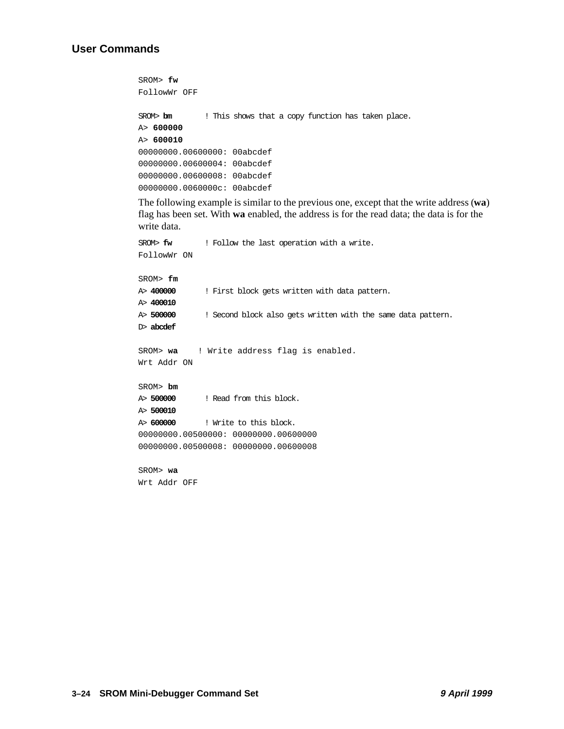#### **User Commands**

```
SROM> fw 
FollowWr OFF
SROM> bm ! This shows that a copy function has taken place.
A> 600000 
A> 600010 
00000000.00600000: 00abcdef
00000000.00600004: 00abcdef 
00000000.00600008: 00abcdef 
00000000.0060000c: 00abcdef
```
The following example is similar to the previous one, except that the write address (**wa**) flag has been set. With **wa** enabled, the address is for the read data; the data is for the write data.

```
SROM> fw ! Follow the last operation with a write.
FollowWr ON
SROM> fm
A> 400000 ! First block gets written with data pattern.
A> 400010
A> 500000 ! Second block also gets written with the same data pattern.
D> abcdef
SROM> wa ! Write address flag is enabled.
Wrt Addr ON
SROM> bm
A> 500000 ! Read from this block.
A> 500010
A> 600000 ! Write to this block.
00000000.00500000: 00000000.00600000 
00000000.00500008: 00000000.00600008
SROM> wa
```
**3–24 SROM Mini-Debugger Command Set 9 April 1999**

Wrt Addr OFF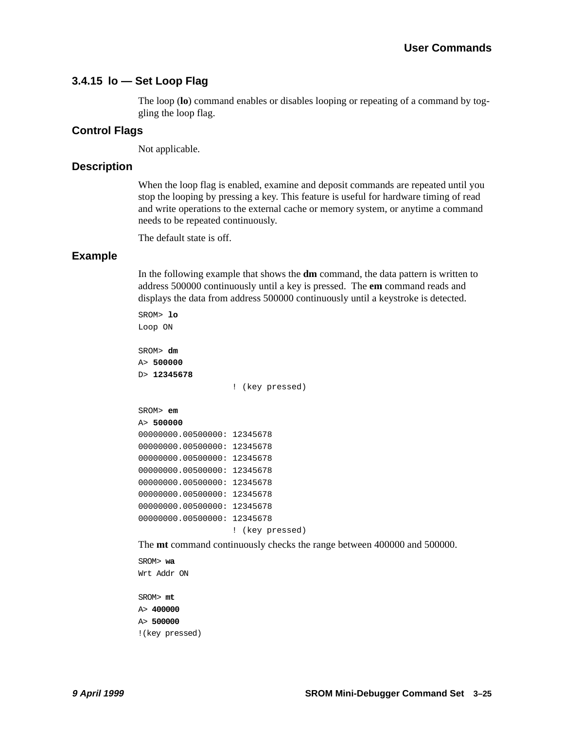#### <span id="page-40-0"></span>**3.4.15 lo — Set Loop Flag**

The loop (**lo**) command enables or disables looping or repeating of a command by toggling the loop flag.

#### **Control Flags**

Not applicable.

#### **Description**

When the loop flag is enabled, examine and deposit commands are repeated until you stop the looping by pressing a key. This feature is useful for hardware timing of read and write operations to the external cache or memory system, or anytime a command needs to be repeated continuously.

The default state is off.

#### **Example**

In the following example that shows the **dm** command, the data pattern is written to address 500000 continuously until a key is pressed. The **em** command reads and displays the data from address 500000 continuously until a keystroke is detected.

```
SROM> lo
Loop ON
SROM> dm
A> 500000 
D> 12345678 
                   ! (key pressed)
SROM> em 
A> 500000 
00000000.00500000: 12345678 
00000000.00500000: 12345678 
00000000.00500000: 12345678 
00000000.00500000: 12345678 
00000000.00500000: 12345678 
00000000.00500000: 12345678 
00000000.00500000: 12345678 
00000000.00500000: 12345678 
                    ! (key pressed)
```
The **mt** command continuously checks the range between 400000 and 500000.

```
SROM> wa 
Wrt Addr ON
SROM> mt 
A> 400000 
A> 500000 
!(key pressed)
```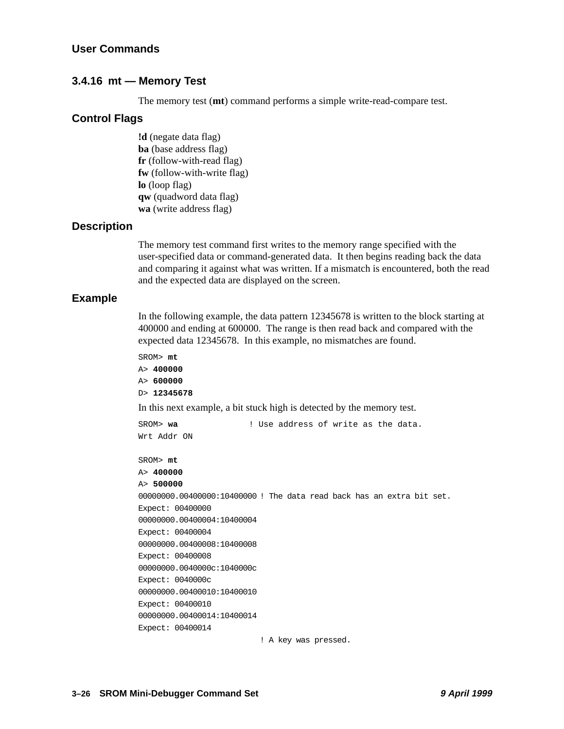#### <span id="page-41-0"></span>**3.4.16 mt — Memory Test**

The memory test (**mt**) command performs a simple write-read-compare test.

#### **Control Flags**

**!d** (negate data flag) **ba** (base address flag) **fr** (follow-with-read flag) **fw** (follow-with-write flag) **lo** (loop flag) **qw** (quadword data flag) **wa** (write address flag)

#### **Description**

The memory test command first writes to the memory range specified with the user-specified data or command-generated data. It then begins reading back the data and comparing it against what was written. If a mismatch is encountered, both the read and the expected data are displayed on the screen.

#### **Example**

In the following example, the data pattern 12345678 is written to the block starting at 400000 and ending at 600000. The range is then read back and compared with the expected data 12345678. In this example, no mismatches are found.

```
SROM> mt 
A> 400000 
A> 600000 
D> 12345678
In this next example, a bit stuck high is detected by the memory test.
SROM> wa ! Use address of write as the data. 
Wrt Addr ON
SROM> mt 
A> 400000 
A> 500000 
00000000.00400000:10400000 ! The data read back has an extra bit set.
Expect: 00400000
00000000.00400004:10400004
Expect: 00400004
00000000.00400008:10400008
Expect: 00400008
00000000.0040000c:1040000c
Expect: 0040000c
00000000.00400010:10400010
Expect: 00400010
00000000.00400014:10400014
Expect: 00400014
```
! A key was pressed.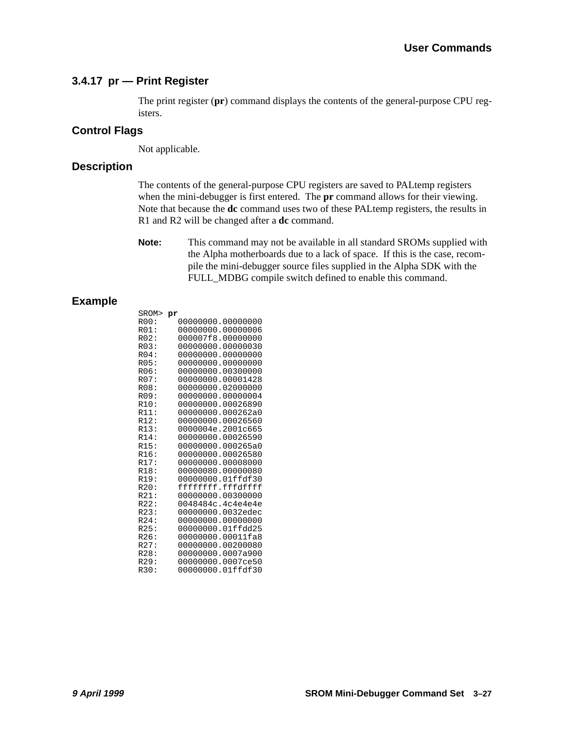#### <span id="page-42-0"></span>**3.4.17 pr — Print Register**

The print register (**pr**) command displays the contents of the general-purpose CPU registers.

#### **Control Flags**

Not applicable.

#### **Description**

The contents of the general-purpose CPU registers are saved to PALtemp registers when the mini-debugger is first entered. The **pr** command allows for their viewing. Note that because the **dc** command uses two of these PALtemp registers, the results in R1 and R2 will be changed after a **dc** command.

**Note:** This command may not be available in all standard SROMs supplied with the Alpha motherboards due to a lack of space. If this is the case, recompile the mini-debugger source files supplied in the Alpha SDK with the FULL\_MDBG compile switch defined to enable this command.

#### **Example**

| SROM> pr |                   |
|----------|-------------------|
| ROO:     | 00000000.00000000 |
| R01:     | 00000000.00000006 |
| R02:     | 000007f8.00000000 |
| R03:     | 00000000.00000030 |
| $R04$ :  | 00000000.00000000 |
| R05:     | 00000000.00000000 |
| R06:     | 00000000.00300000 |
| R07:     | 00000000.00001428 |
| R08:     | 00000000.02000000 |
| R09:     | 00000000.00000004 |
| R10:     | 00000000.00026890 |
| R11:     | 00000000.000262a0 |
| R12:     | 00000000.00026560 |
| R13:     | 0000004e.2001c665 |
| R14:     | 00000000.00026590 |
| R15:     | 00000000.000265a0 |
| R16:     | 00000000.00026580 |
| R17:     | 00000000.00008000 |
| R18:     | 00000080.00000080 |
| R19:     | 00000000.01ffdf30 |
| R20:     | ffffffff.fffdffff |
| R21:     | 00000000.00300000 |
| R22:     | 0048484c.4c4e4e4e |
| R23:     | 00000000.0032edec |
| R24:     | 00000000.00000000 |
| R25:     | 00000000.01ffdd25 |
| R26:     | 00000000.00011fa8 |
| R27:     | 00000000.00200080 |
| R28:     | 00000000.0007a900 |
| R29:     | 00000000.0007ce50 |
| R30:     | 00000000.01ffdf30 |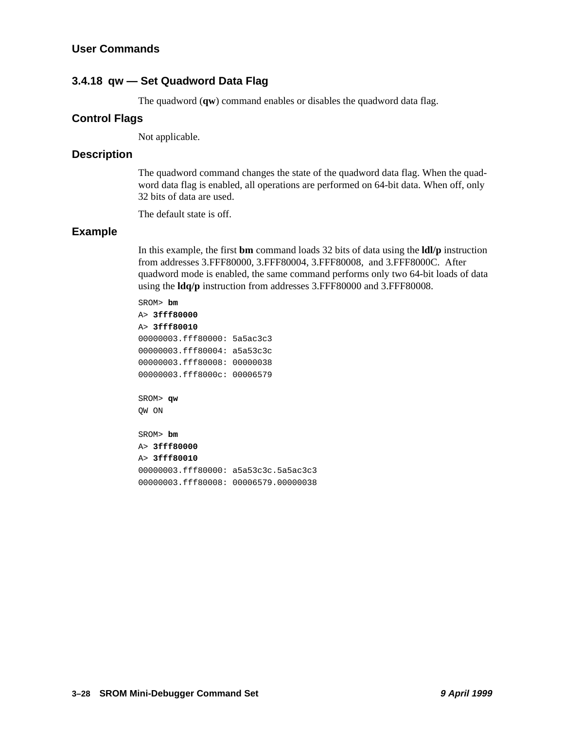#### <span id="page-43-0"></span>**3.4.18 qw — Set Quadword Data Flag**

The quadword (**qw**) command enables or disables the quadword data flag.

#### **Control Flags**

Not applicable.

#### **Description**

The quadword command changes the state of the quadword data flag. When the quadword data flag is enabled, all operations are performed on 64-bit data. When off, only 32 bits of data are used.

The default state is off.

#### **Example**

In this example, the first **bm** command loads 32 bits of data using the **ldl/p** instruction from addresses 3.FFF80000, 3.FFF80004, 3.FFF80008, and 3.FFF8000C. After quadword mode is enabled, the same command performs only two 64-bit loads of data using the **ldq/p** instruction from addresses 3.FFF80000 and 3.FFF80008.

SROM> **bm**  A> **3fff80000** A> **3fff80010**  00000003.fff80000: 5a5ac3c3 00000003.fff80004: a5a53c3c 00000003.fff80008: 00000038 00000003.fff8000c: 00006579 SROM> **qw**  QW ON SROM> **bm**  A> **3fff80000**  A> **3fff80010**  00000003.fff80000: a5a53c3c.5a5ac3c3

00000003.fff80008: 00006579.00000038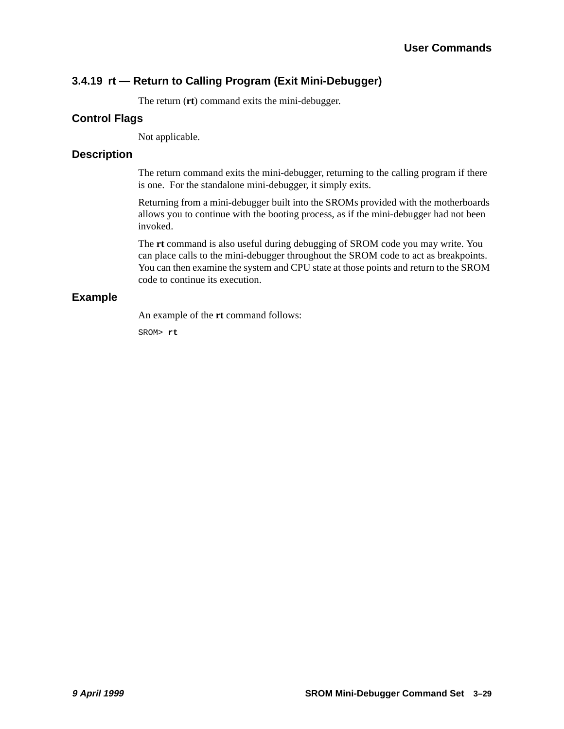## <span id="page-44-0"></span>**3.4.19 rt — Return to Calling Program (Exit Mini-Debugger)**

The return (**rt**) command exits the mini-debugger.

#### **Control Flags**

Not applicable.

#### **Description**

The return command exits the mini-debugger, returning to the calling program if there is one. For the standalone mini-debugger, it simply exits.

Returning from a mini-debugger built into the SROMs provided with the motherboards allows you to continue with the booting process, as if the mini-debugger had not been invoked.

The **rt** command is also useful during debugging of SROM code you may write. You can place calls to the mini-debugger throughout the SROM code to act as breakpoints. You can then examine the system and CPU state at those points and return to the SROM code to continue its execution.

#### **Example**

An example of the **rt** command follows:

SROM> **rt**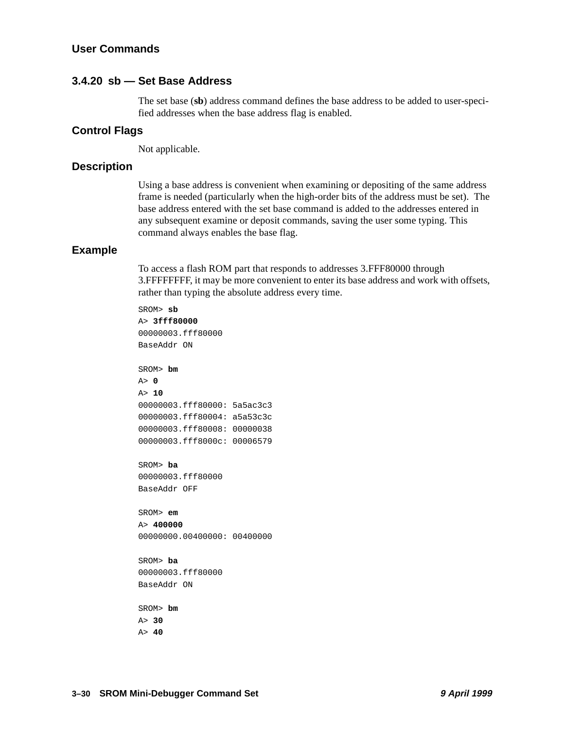#### <span id="page-45-0"></span>**3.4.20 sb — Set Base Address**

The set base (**sb**) address command defines the base address to be added to user-specified addresses when the base address flag is enabled.

#### **Control Flags**

Not applicable.

#### **Description**

Using a base address is convenient when examining or depositing of the same address frame is needed (particularly when the high-order bits of the address must be set). The base address entered with the set base command is added to the addresses entered in any subsequent examine or deposit commands, saving the user some typing. This command always enables the base flag.

#### **Example**

To access a flash ROM part that responds to addresses 3.FFF80000 through 3.FFFFFFFF, it may be more convenient to enter its base address and work with offsets, rather than typing the absolute address every time.

SROM> **sb**  A> **3fff80000**  00000003.fff80000 BaseAddr ON SROM> **bm**  A> **0**  A> **10**  00000003.fff80000: 5a5ac3c3 00000003.fff80004: a5a53c3c 00000003.fff80008: 00000038 00000003.fff8000c: 00006579 SROM> **ba**  00000003.fff80000 BaseAddr OFF SROM> **em**  A> **400000**  00000000.00400000: 00400000 SROM> **ba**  00000003.fff80000 BaseAddr ON SROM> **bm** 

A> **30**  A> **40**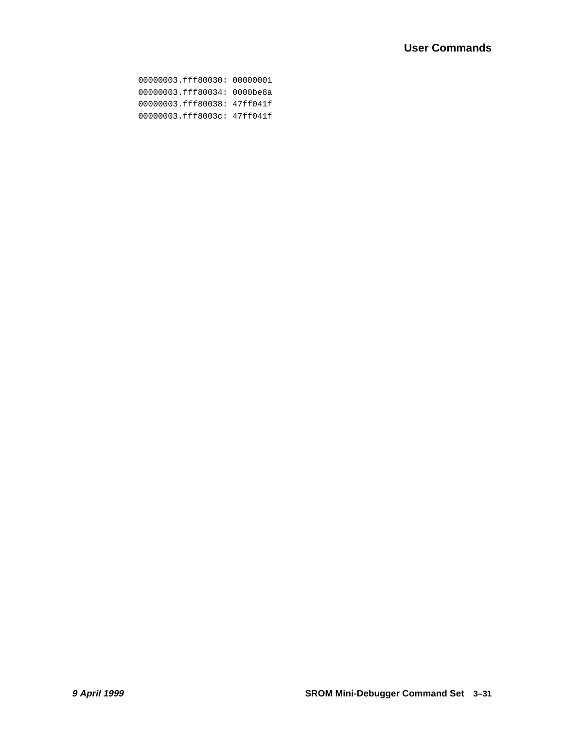00000003.fff80030: 00000001 00000003.fff80034: 0000be8a 00000003.fff80038: 47ff041f 00000003.fff8003c: 47ff041f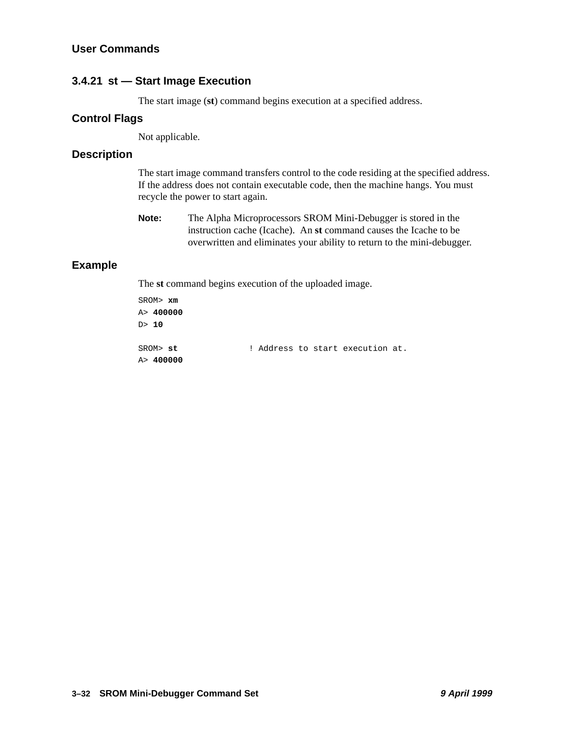#### <span id="page-47-0"></span>**3.4.21 st — Start Image Execution**

The start image (**st**) command begins execution at a specified address.

#### **Control Flags**

Not applicable.

#### **Description**

The start image command transfers control to the code residing at the specified address. If the address does not contain executable code, then the machine hangs. You must recycle the power to start again.

| <b>Note:</b> | The Alpha Microprocessors SROM Mini-Debugger is stored in the           |
|--------------|-------------------------------------------------------------------------|
|              | instruction cache (Icache). An st command causes the Icache to be       |
|              | overwritten and eliminates your ability to return to the mini-debugger. |

#### **Example**

The **st** command begins execution of the uploaded image.

| SROM> xm   |  |  |                                  |  |
|------------|--|--|----------------------------------|--|
| A > 400000 |  |  |                                  |  |
| D > 10     |  |  |                                  |  |
|            |  |  |                                  |  |
| SROM> st   |  |  | ! Address to start execution at. |  |
| A > 400000 |  |  |                                  |  |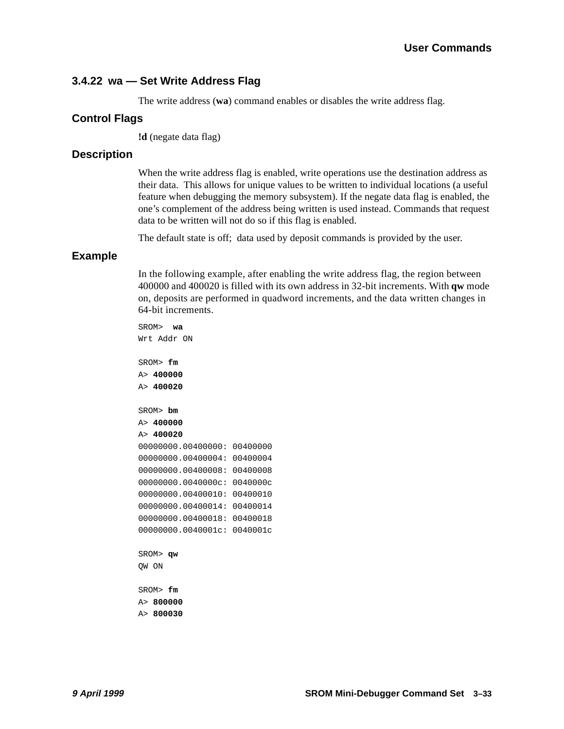#### **User Commands**

#### <span id="page-48-0"></span>**3.4.22 wa — Set Write Address Flag**

The write address (**wa**) command enables or disables the write address flag.

#### **Control Flags**

**!d** (negate data flag)

#### **Description**

When the write address flag is enabled, write operations use the destination address as their data. This allows for unique values to be written to individual locations (a useful feature when debugging the memory subsystem). If the negate data flag is enabled, the one's complement of the address being written is used instead. Commands that request data to be written will not do so if this flag is enabled.

The default state is off; data used by deposit commands is provided by the user.

#### **Example**

In the following example, after enabling the write address flag, the region between 400000 and 400020 is filled with its own address in 32-bit increments. With **qw** mode on, deposits are performed in quadword increments, and the data written changes in 64-bit increments.

SROM> **wa**  Wrt Addr ON SROM> **fm**  A> **400000**  A> **400020** SROM> **bm**  A> **400000**  A> **400020**  00000000.00400000: 00400000 00000000.00400004: 00400004 00000000.00400008: 00400008 00000000.0040000c: 0040000c 00000000.00400010: 00400010 00000000.00400014: 00400014 00000000.00400018: 00400018 00000000.0040001c: 0040001c SROM> **qw**  QW ON SROM> **fm**  A> **800000** 

A> **800030**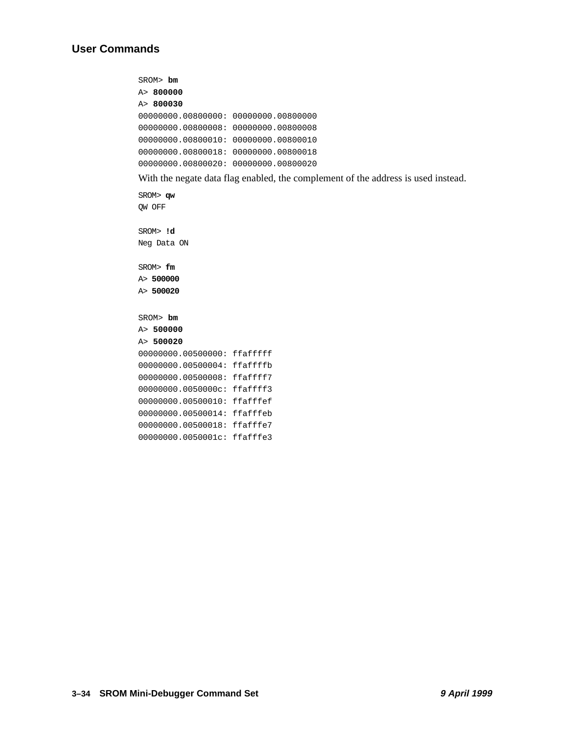SROM> **bm**  A> **800000** A> **800030** 00000000.00800000: 00000000.00800000 00000000.00800008: 00000000.00800008 00000000.00800010: 00000000.00800010 00000000.00800018: 00000000.00800018 00000000.00800020: 00000000.00800020

With the negate data flag enabled, the complement of the address is used instead.

SROM> **qw**  QW OFF SROM> **!d**  Neg Data ON SROM> **fm**  A> **500000**  A> **500020** SROM> **bm**  A> **500000**  A> **500020**  00000000.00500000: ffafffff 00000000.00500004: ffaffffb 00000000.00500008: ffaffff7 00000000.0050000c: ffaffff3 00000000.00500010: ffafffef 00000000.00500014: ffafffeb 00000000.00500018: ffafffe7 00000000.0050001c: ffafffe3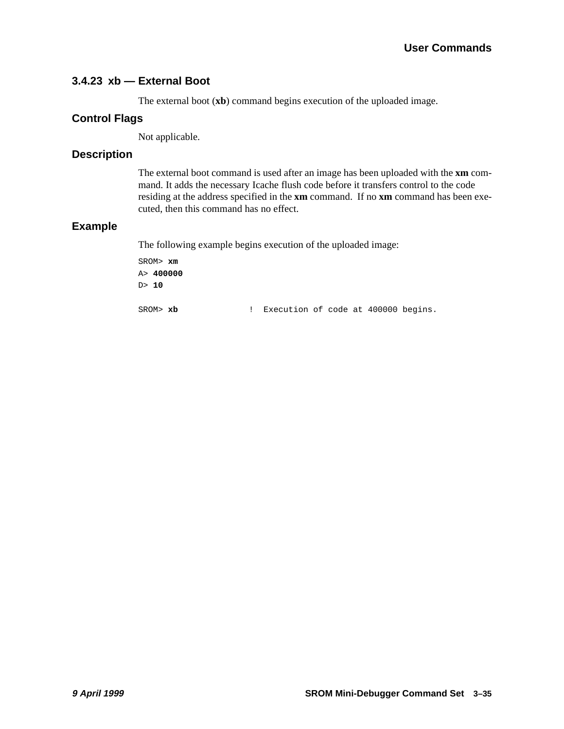#### <span id="page-50-0"></span>**3.4.23 xb — External Boot**

The external boot (**xb**) command begins execution of the uploaded image.

#### **Control Flags**

Not applicable.

#### **Description**

The external boot command is used after an image has been uploaded with the **xm** command. It adds the necessary Icache flush code before it transfers control to the code residing at the address specified in the **xm** command. If no **xm** command has been executed, then this command has no effect.

#### **Example**

The following example begins execution of the uploaded image:

SROM> **xm**  A> **400000**  D> **10** SROM> **xb** ! Execution of code at 400000 begins.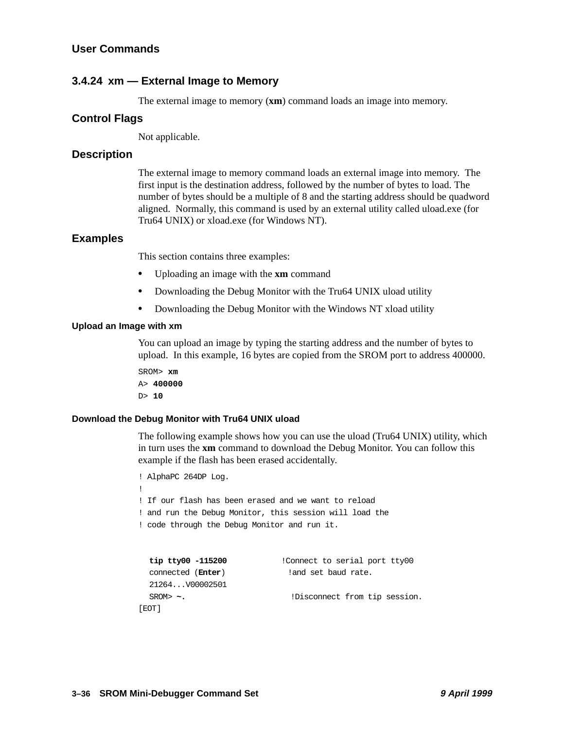#### <span id="page-51-0"></span>**3.4.24 xm — External Image to Memory**

The external image to memory (**xm**) command loads an image into memory.

#### **Control Flags**

Not applicable.

#### **Description**

The external image to memory command loads an external image into memory. The first input is the destination address, followed by the number of bytes to load. The number of bytes should be a multiple of 8 and the starting address should be quadword aligned. Normally, this command is used by an external utility called uload.exe (for Tru64 UNIX) or xload.exe (for Windows NT).

#### **Examples**

This section contains three examples:

- **•** Uploading an image with the **xm** command
- **•** Downloading the Debug Monitor with the Tru64 UNIX uload utility
- **•** Downloading the Debug Monitor with the Windows NT xload utility

#### **Upload an Image with xm**

You can upload an image by typing the starting address and the number of bytes to upload. In this example, 16 bytes are copied from the SROM port to address 400000.

SROM> **xm**  A> **400000**  D> **10**

#### **Download the Debug Monitor with Tru64 UNIX uload**

The following example shows how you can use the uload (Tru64 UNIX) utility, which in turn uses the **xm** command to download the Debug Monitor. You can follow this example if the flash has been erased accidentally.

```
! AlphaPC 264DP Log.
!
! If our flash has been erased and we want to reload
! and run the Debug Monitor, this session will load the
! code through the Debug Monitor and run it.
  tip tty00 -115200 !Connect to serial port tty00
  connected (Enter) !and set baud rate. 
  21264...V00002501 
  SROM> \sim. But all intervals !Disconnect from tip session.
```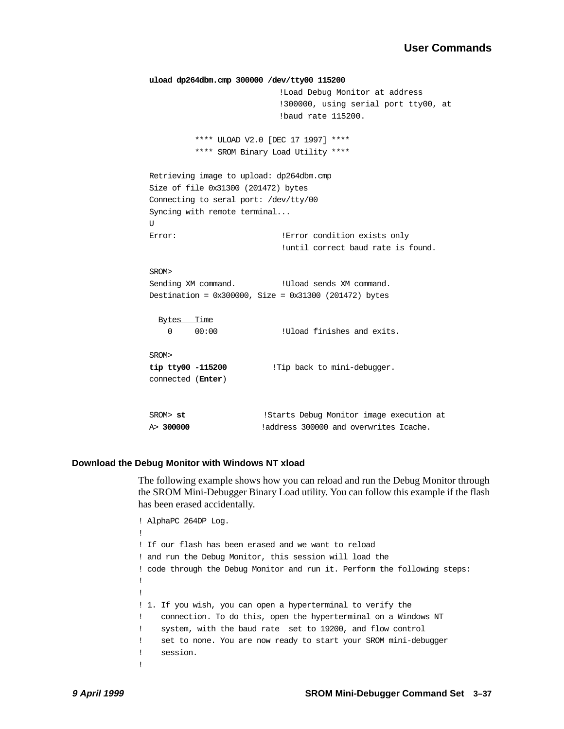```
uload dp264dbm.cmp 300000 /dev/tty00 115200
                           !Load Debug Monitor at address
                            !300000, using serial port tty00, at 
                            !baud rate 115200.
          **** ULOAD V2.0 [DEC 17 1997] ****
          **** SROM Binary Load Utility ****
Retrieving image to upload: dp264dbm.cmp
Size of file 0x31300 (201472) bytes
Connecting to seral port: /dev/tty/00
Syncing with remote terminal...
\overline{U}Error: \qquad \qquad !Error condition exists only
                            !until correct baud rate is found.
SROM>
Sending XM command. !Uload sends XM command.
Destination = 0x300000, Size = 0x31300 (201472) bytes
 Bytes Time
    0 00:00 !Uload finishes and exits.
SROM>
tip tty00 -115200 !Tip back to mini-debugger.
connected (Enter)
SROM> st !Starts Debug Monitor image execution at
A> 300000 !address 300000 and overwrites Icache.
```
#### **Download the Debug Monitor with Windows NT xload**

The following example shows how you can reload and run the Debug Monitor through the SROM Mini-Debugger Binary Load utility. You can follow this example if the flash has been erased accidentally.

```
! AlphaPC 264DP Log.
!
! If our flash has been erased and we want to reload
! and run the Debug Monitor, this session will load the
! code through the Debug Monitor and run it. Perform the following steps:
! 
!
! 1. If you wish, you can open a hyperterminal to verify the 
! connection. To do this, open the hyperterminal on a Windows NT 
! system, with the baud rate set to 19200, and flow control 
! set to none. You are now ready to start your SROM mini-debugger 
! session. 
!
```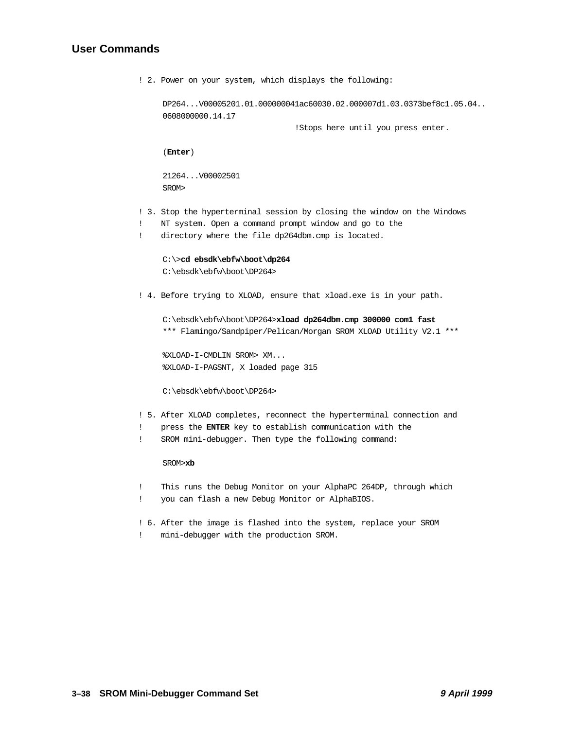#### <span id="page-53-0"></span>**User Commands**

```
! 2. Power on your system, which displays the following:
     DP264...V00005201.01.000000041ac60030.02.000007d1.03.0373bef8c1.05.04..
     0608000000.14.17 
                                   !Stops here until you press enter.
     (Enter)
     21264...V00002501
     SROM>
! 3. Stop the hyperterminal session by closing the window on the Windows 
! NT system. Open a command prompt window and go to the 
! directory where the file dp264dbm.cmp is located.
     C:\>cd ebsdk\ebfw\boot\dp264
     C:\ebsdk\ebfw\boot\DP264>
! 4. Before trying to XLOAD, ensure that xload.exe is in your path.
     C:\ebsdk\ebfw\boot\DP264>xload dp264dbm.cmp 300000 com1 fast
     *** Flamingo/Sandpiper/Pelican/Morgan SROM XLOAD Utility V2.1 ***
     %XLOAD-I-CMDLIN SROM> XM...
     %XLOAD-I-PAGSNT, X loaded page 315
     C:\ebsdk\ebfw\boot\DP264>
! 5. After XLOAD completes, reconnect the hyperterminal connection and 
! press the ENTER key to establish communication with the 
! SROM mini-debugger. Then type the following command:
     SROM>xb
! This runs the Debug Monitor on your AlphaPC 264DP, through which 
! you can flash a new Debug Monitor or AlphaBIOS. 
! 6. After the image is flashed into the system, replace your SROM 
! mini-debugger with the production SROM.
```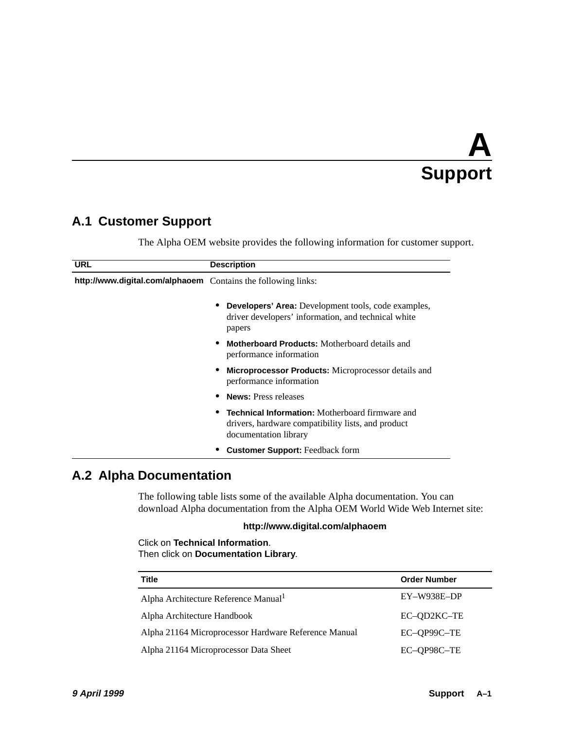# **A Support**

## <span id="page-54-0"></span>**A.1 Customer Support**

The Alpha OEM website provides the following information for customer support.

| <b>URL</b>                                                    | <b>Description</b>                                                                                                                    |  |  |
|---------------------------------------------------------------|---------------------------------------------------------------------------------------------------------------------------------------|--|--|
| http://www.digital.com/alphaoem Contains the following links: |                                                                                                                                       |  |  |
|                                                               | <b>Developers' Area:</b> Development tools, code examples,<br>driver developers' information, and technical white<br>papers           |  |  |
|                                                               | <b>Motherboard Products:</b> Motherboard details and<br>performance information                                                       |  |  |
|                                                               | <b>Microprocessor Products:</b> Microprocessor details and<br>performance information                                                 |  |  |
|                                                               | <b>News:</b> Press releases                                                                                                           |  |  |
|                                                               | <b>Technical Information:</b> Motherboard firmware and<br>drivers, hardware compatibility lists, and product<br>documentation library |  |  |
|                                                               | <b>Customer Support:</b> Feedback form                                                                                                |  |  |

## **A.2 Alpha Documentation**

The following table lists some of the available Alpha documentation. You can download Alpha documentation from the Alpha OEM World Wide Web Internet site:

#### **http://www.digital.com/alphaoem**

Click on **Technical Information**. Then click on **Documentation Library**.

| <b>Title</b>                                         | <b>Order Number</b> |
|------------------------------------------------------|---------------------|
| Alpha Architecture Reference Manual <sup>1</sup>     | $EY-W938E-DP$       |
| Alpha Architecture Handbook                          | EC-OD2KC-TE         |
| Alpha 21164 Microprocessor Hardware Reference Manual | EC-OP99C-TE         |
| Alpha 21164 Microprocessor Data Sheet                | EC-QP98C-TE         |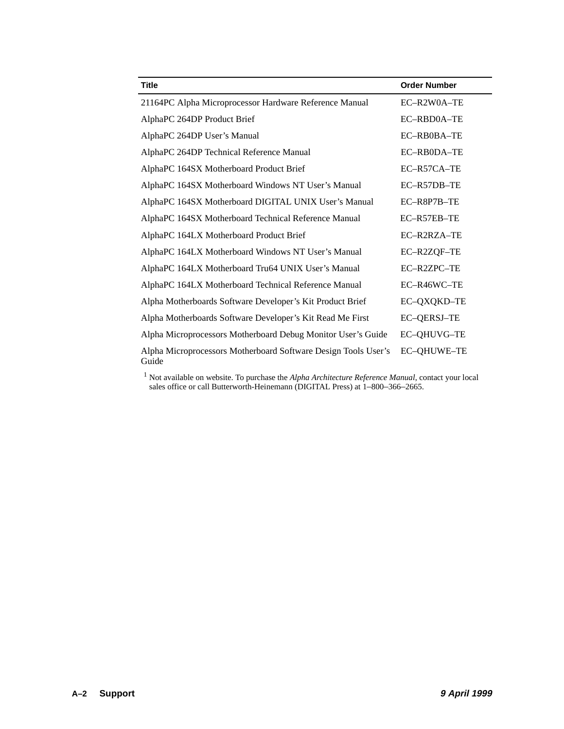| <b>Title</b>                                                            | <b>Order Number</b> |
|-------------------------------------------------------------------------|---------------------|
| 21164PC Alpha Microprocessor Hardware Reference Manual                  | EC-R2W0A-TE         |
| AlphaPC 264DP Product Brief                                             | EC-RBD0A-TE         |
| AlphaPC 264DP User's Manual                                             | EC-RB0BA-TE         |
| AlphaPC 264DP Technical Reference Manual                                | EC-RB0DA-TE         |
| AlphaPC 164SX Motherboard Product Brief                                 | EC-R57CA-TE         |
| AlphaPC 164SX Motherboard Windows NT User's Manual                      | EC-R57DB-TE         |
| AlphaPC 164SX Motherboard DIGITAL UNIX User's Manual                    | EC-R8P7B-TE         |
| AlphaPC 164SX Motherboard Technical Reference Manual                    | EC-R57EB-TE         |
| AlphaPC 164LX Motherboard Product Brief                                 | EC-R2RZA-TE         |
| AlphaPC 164LX Motherboard Windows NT User's Manual                      | EC-R2ZQF-TE         |
| AlphaPC 164LX Motherboard Tru64 UNIX User's Manual                      | EC-R2ZPC-TE         |
| AlphaPC 164LX Motherboard Technical Reference Manual                    | EC-R46WC-TE         |
| Alpha Motherboards Software Developer's Kit Product Brief               | EC-QXQKD-TE         |
| Alpha Motherboards Software Developer's Kit Read Me First               | <b>EC-QERSJ-TE</b>  |
| Alpha Microprocessors Motherboard Debug Monitor User's Guide            | <b>EC-QHUVG-TE</b>  |
| Alpha Microprocessors Motherboard Software Design Tools User's<br>Guide | <b>EC-QHUWE-TE</b>  |

<sup>1</sup> Not available on website. To purchase the *Alpha Architecture Reference Manual*, contact your local sales office or call Butterworth-Heinemann (DIGITAL Press) at 1–800–366–2665.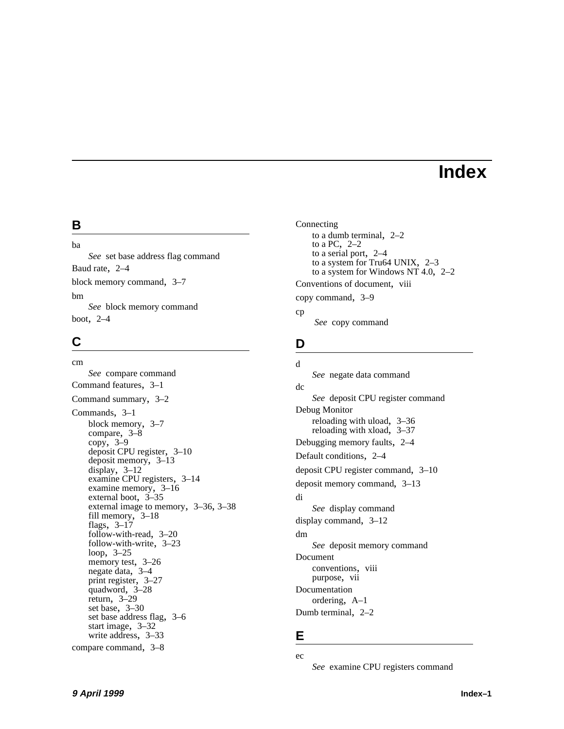## **Index**

### <span id="page-56-0"></span>**B**

ba *[See](#page-21-0)* set base address flag command Baud rate, [2–4](#page-13-0) block memory command, [3–7](#page-22-0) bm *[See](#page-22-0)* block memory command boot, [2–4](#page-13-0)

## **C**

cm *[See](#page-23-0)* compare command Command features, [3–1](#page-16-0) Command summary, [3–2](#page-17-0) Commands, [3–1](#page-16-0) block memory, [3–7](#page-22-0) compare, [3–8](#page-23-0) copy, 3–9 deposi[t CPU register,](#page-24-0) [3–10](#page-25-0) deposit memory, [3–13](#page-28-0) display, [3–12](#page-27-0) examine CPU registers, [3–14](#page-29-0) examine memory, [3–16](#page-31-0) external boot, [3–35](#page-50-0) external image to memory, [3–36](#page-51-0), [3–38](#page-53-0) fill memory, [3–18](#page-33-0) flags, [3–17](#page-32-0) follow-with-read, [3–20](#page-35-0) follow-with-write, [3–23](#page-38-0) loop, [3–25](#page-40-0) memory test, 3-26 negate data, [3–4](#page-19-0) print register, [3–27](#page-42-0) quadword, [3–28](#page-43-0) return, [3–29](#page-44-0) set base, [3–30](#page-45-0) set base address flag, [3–6](#page-21-0) start image, [3–32](#page-47-0) write address, [3–33](#page-48-0) compare command, [3–8](#page-23-0)

Connecting to a dumb terminal, [2–2](#page-11-0) to a PC, [2–2](#page-11-0) to a serial port, [2–4](#page-13-0) to a system for Tru64 UNIX, [2–3](#page-12-0) to a system for Windows NT 4.0, [2–2](#page-11-0) Conventions of document, [viii](#page-7-0) copy command, [3–9](#page-24-0) cp

 *[See](#page-24-0)* copy command

## **D**

```
d
    See negate data command
dc
    See deposit CPU register command
Debug Monitor
    reloading with uload, 3–36
    reloading with xload, 3–37
Debugging memory faults, 2–4
Default conditions, 2–4
deposit CPU register command, 3–10
deposit memory command, 3–13
di
    See display command
display command, 3–12
dm
    See deposit memory command
Document
    conventions, viii
    purpose, vii
Documentation
    ordering, A–1
Dumb terminal, 2–2
```
#### **E**

ec

*[See](#page-29-0)* examine CPU registers command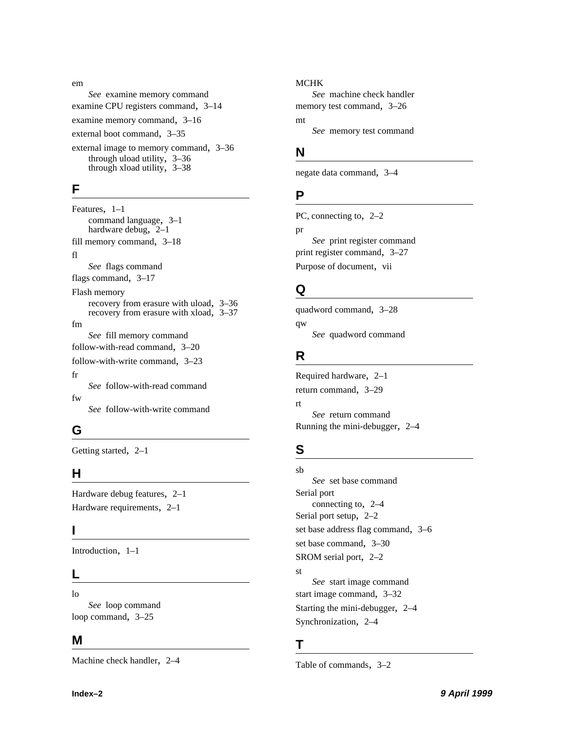em *[See](#page-31-0)* examine memory command examine CPU registers command, [3–14](#page-29-0) examine memory command, [3–16](#page-31-0) external boot command, [3–35](#page-50-0) external image to memory command, [3–36](#page-51-0) through uload utility, [3–36](#page-51-0)

through xload utility, [3–38](#page-53-0)

#### **F**

Features, [1–1](#page-8-0) command language, [3–1](#page-16-0) hardware debug, [2–1](#page-10-0) fill memory command, [3–18](#page-33-0) fl *[See](#page-32-0)* flags command flags command, [3–17](#page-32-0) Flash memory recovery from erasure with uload, [3–36](#page-51-0) recovery from erasure with xload, [3–37](#page-52-0) fm *[See](#page-33-0)* fill memory command follow-with-read command, [3–20](#page-35-0) follow-with-write command, [3–23](#page-38-0) fr *[See](#page-35-0)* follow-with-read command fw *[See](#page-38-0)* follow-with-write command

## **G**

Getting started, [2–1](#page-10-0)

## **H**

Hardware debug features, [2–1](#page-10-0) Hardware requirements, [2–1](#page-10-0)

## **I**

Introduction, [1–1](#page-8-0)

## **L**

lo *[See](#page-40-0)* loop command loop command, [3–25](#page-40-0)

### **M**

Machine check handler, [2–4](#page-13-0)

#### MCHK

*[See](#page-13-0)* machine check handler memory test command, [3–26](#page-41-0) mt *[See](#page-41-0)* memory test command

## **N**

negate data command, [3–4](#page-19-0)

## **P**

PC, connecting to, [2–2](#page-11-0) pr *[See](#page-42-0)* print register command print register command, [3–27](#page-42-0) Purpose of document, [vii](#page-6-0)

## **Q**

quadword command, [3–28](#page-43-0) qw *[See](#page-43-0)* quadword command

## **R**

Required hardware, [2–1](#page-10-0) return command, [3–29](#page-44-0) rt *[See](#page-44-0)* return command Running the mini-debugger, [2–4](#page-13-0)

## **S**

sb *[See](#page-45-0)* set base command Serial port connecting to, [2–4](#page-13-0) Serial port setup, [2–2](#page-11-0) set base address flag command, [3–6](#page-21-0) set base command, [3–30](#page-45-0) SROM serial port, [2–2](#page-11-0) st *[See](#page-47-0)* start image command start image command, [3–32](#page-47-0) Starting the mini-debugger, [2–4](#page-13-0) Synchronization, [2–4](#page-13-0)

## **T**

Table of commands, [3–2](#page-17-0)